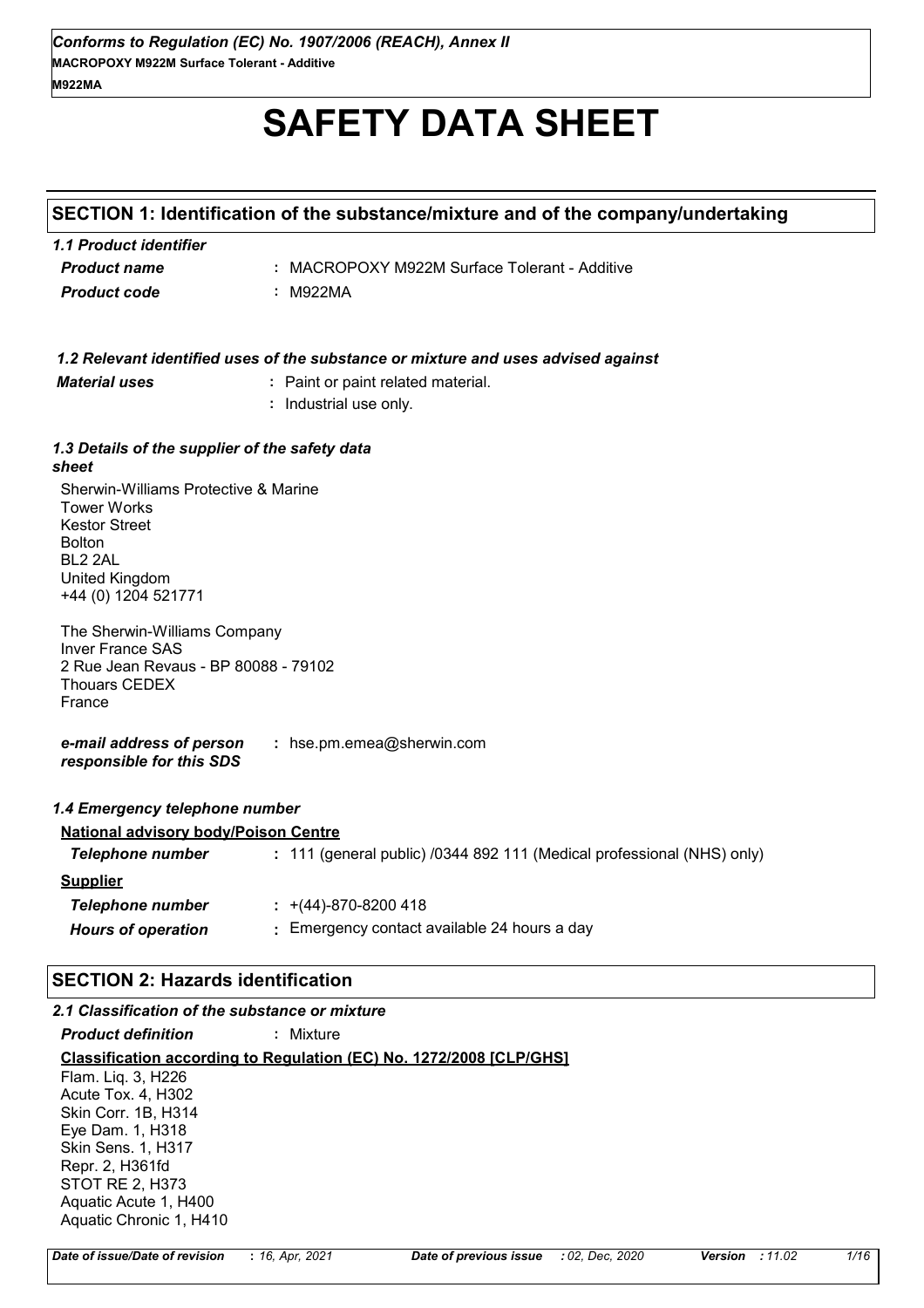# **SAFETY DATA SHEET**

# **SECTION 1: Identification of the substance/mixture and of the company/undertaking**

| 1.1 Product identifier |                                               |
|------------------------|-----------------------------------------------|
| <b>Product name</b>    | : MACROPOXY M922M Surface Tolerant - Additive |
| <b>Product code</b>    | : M922MA                                      |

*1.2 Relevant identified uses of the substance or mixture and uses advised against*

| <b>Material uses</b>                                                                                                       | : Paint or paint related material.<br>: Industrial use only. |
|----------------------------------------------------------------------------------------------------------------------------|--------------------------------------------------------------|
| 1.3 Details of the supplier of the safety data<br>sheet                                                                    |                                                              |
| Sherwin-Williams Protective & Marine<br><b>Tower Works</b><br><b>Kestor Street</b><br><b>Bolton</b><br>BL <sub>2</sub> 2AL |                                                              |
| United Kingdom                                                                                                             |                                                              |

The Sherwin-Williams Company Inver France SAS 2 Rue Jean Revaus - BP 80088 - 79102 Thouars CEDEX France

+44 (0) 1204 521771

*e-mail address of person responsible for this SDS* **:** hse.pm.emea@sherwin.com

#### *1.4 Emergency telephone number*

#### **National advisory body/Poison Centre**

| Telephone number          | : 111 (general public) /0344 892 111 (Medical professional (NHS) only) |
|---------------------------|------------------------------------------------------------------------|
| <b>Supplier</b>           |                                                                        |
| Telephone number          | $\div$ +(44)-870-8200 418                                              |
| <b>Hours of operation</b> | : Emergency contact available 24 hours a day                           |

# **SECTION 2: Hazards identification**

#### *2.1 Classification of the substance or mixture*

*Product definition* **:** Mixture

**Classification according to Regulation (EC) No. 1272/2008 [CLP/GHS]** Flam. Liq. 3, H226 Acute Tox. 4, H302 Skin Corr. 1B, H314 Eye Dam. 1, H318 Skin Sens. 1, H317 Repr. 2, H361fd STOT RE 2, H373 Aquatic Acute 1, H400

*Date of issue/Date of revision* **:** *16, Apr, 2021 Date of previous issue : 02, Dec, 2020 Version : 11.02 1/16*

Aquatic Chronic 1, H410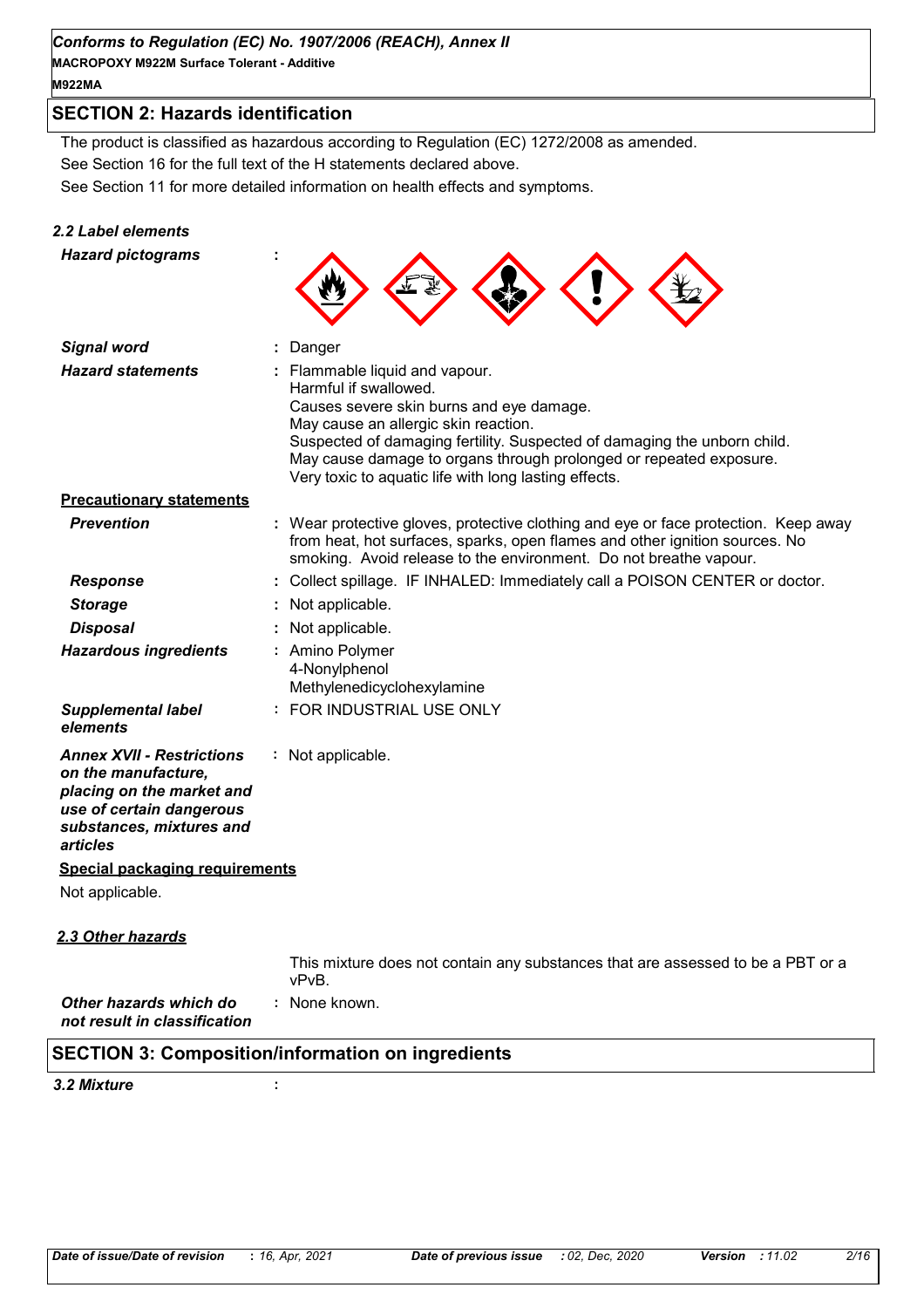# *Conforms to Regulation (EC) No. 1907/2006 (REACH), Annex II*

**MACROPOXY M922M Surface Tolerant - Additive M922MA**

# **SECTION 2: Hazards identification**

See Section 11 for more detailed information on health effects and symptoms. See Section 16 for the full text of the H statements declared above. The product is classified as hazardous according to Regulation (EC) 1272/2008 as amended.

# *2.2 Label elements*

| <b>Hazard pictograms</b>                                                                                                                                 |                                                                                                                                                                                                                                                                                                                                                      |
|----------------------------------------------------------------------------------------------------------------------------------------------------------|------------------------------------------------------------------------------------------------------------------------------------------------------------------------------------------------------------------------------------------------------------------------------------------------------------------------------------------------------|
| <b>Signal word</b>                                                                                                                                       | Danger                                                                                                                                                                                                                                                                                                                                               |
| <b>Hazard statements</b>                                                                                                                                 | Flammable liquid and vapour.<br>Harmful if swallowed.<br>Causes severe skin burns and eye damage.<br>May cause an allergic skin reaction.<br>Suspected of damaging fertility. Suspected of damaging the unborn child.<br>May cause damage to organs through prolonged or repeated exposure.<br>Very toxic to aquatic life with long lasting effects. |
| <b>Precautionary statements</b>                                                                                                                          |                                                                                                                                                                                                                                                                                                                                                      |
| <b>Prevention</b>                                                                                                                                        | : Wear protective gloves, protective clothing and eye or face protection. Keep away<br>from heat, hot surfaces, sparks, open flames and other ignition sources. No<br>smoking. Avoid release to the environment. Do not breathe vapour.                                                                                                              |
| <b>Response</b>                                                                                                                                          | Collect spillage. IF INHALED: Immediately call a POISON CENTER or doctor.                                                                                                                                                                                                                                                                            |
| <b>Storage</b>                                                                                                                                           | Not applicable.                                                                                                                                                                                                                                                                                                                                      |
| <b>Disposal</b>                                                                                                                                          | Not applicable.                                                                                                                                                                                                                                                                                                                                      |
| <b>Hazardous ingredients</b>                                                                                                                             | : Amino Polymer<br>4-Nonylphenol<br>Methylenedicyclohexylamine                                                                                                                                                                                                                                                                                       |
| <b>Supplemental label</b><br>elements                                                                                                                    | : FOR INDUSTRIAL USE ONLY                                                                                                                                                                                                                                                                                                                            |
| <b>Annex XVII - Restrictions</b><br>on the manufacture,<br>placing on the market and<br>use of certain dangerous<br>substances, mixtures and<br>articles | : Not applicable.                                                                                                                                                                                                                                                                                                                                    |
| <b>Special packaging requirements</b>                                                                                                                    |                                                                                                                                                                                                                                                                                                                                                      |
| Not applicable.                                                                                                                                          |                                                                                                                                                                                                                                                                                                                                                      |
| 2.3 Other hazards                                                                                                                                        |                                                                                                                                                                                                                                                                                                                                                      |
|                                                                                                                                                          | This mixture does not contain any substances that are assessed to be a PRT or a                                                                                                                                                                                                                                                                      |

This mixture does not contain any substances that are assessed to be a PBT or a vPvB.

*Other hazards which do* **:** *not result in classification* : None known.

# **SECTION 3: Composition/information on ingredients**

#### *3.2 Mixture* **:**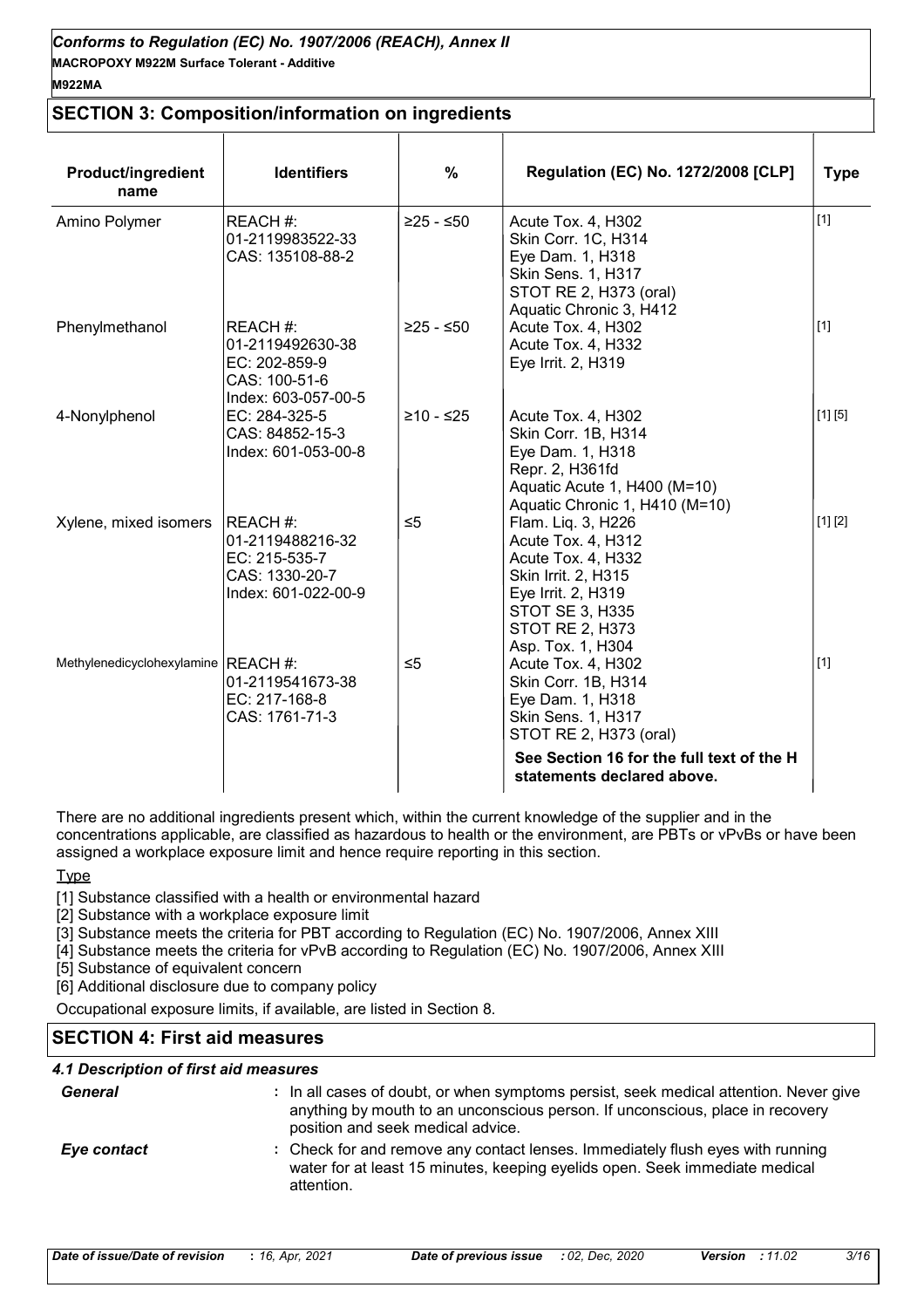# **SECTION 3: Composition/information on ingredients**

| <b>Product/ingredient</b><br>name   | <b>Identifiers</b>                                                                     | $\%$        | <b>Regulation (EC) No. 1272/2008 [CLP]</b>                                                                                                                                               | <b>Type</b> |
|-------------------------------------|----------------------------------------------------------------------------------------|-------------|------------------------------------------------------------------------------------------------------------------------------------------------------------------------------------------|-------------|
| Amino Polymer                       | REACH#:<br>01-2119983522-33<br>CAS: 135108-88-2                                        | $≥25 - ≤50$ | Acute Tox. 4, H302<br>Skin Corr. 1C, H314<br>Eye Dam. 1, H318<br>Skin Sens. 1, H317<br>STOT RE 2, H373 (oral)<br>Aquatic Chronic 3, H412                                                 | $[1]$       |
| Phenylmethanol                      | REACH #:<br>01-2119492630-38<br>EC: 202-859-9<br>CAS: 100-51-6<br>Index: 603-057-00-5  | $≥25 - ≤50$ | Acute Tox. 4, H302<br>Acute Tox. 4, H332<br>Eye Irrit. 2, H319                                                                                                                           | $[1]$       |
| 4-Nonylphenol                       | EC: 284-325-5<br>CAS: 84852-15-3<br>Index: 601-053-00-8                                | $≥10 - ≤25$ | Acute Tox. 4, H302<br>Skin Corr. 1B, H314<br>Eye Dam. 1, H318<br>Repr. 2, H361fd<br>Aquatic Acute 1, H400 (M=10)<br>Aquatic Chronic 1, H410 (M=10)                                       | [1] [5]     |
| Xylene, mixed isomers               | REACH #:<br>01-2119488216-32<br>EC: 215-535-7<br>CAS: 1330-20-7<br>Index: 601-022-00-9 | $\leq 5$    | Flam. Liq. 3, H226<br>Acute Tox. 4, H312<br>Acute Tox. 4, H332<br>Skin Irrit. 2, H315<br>Eye Irrit. 2, H319<br><b>STOT SE 3, H335</b><br><b>STOT RE 2, H373</b><br>Asp. Tox. 1, H304     | [1] [2]     |
| Methylenedicyclohexylamine REACH #: | 01-2119541673-38<br>EC: 217-168-8<br>CAS: 1761-71-3                                    | $\leq 5$    | Acute Tox. 4, H302<br>Skin Corr. 1B, H314<br>Eye Dam. 1, H318<br>Skin Sens. 1, H317<br>STOT RE 2, H373 (oral)<br>See Section 16 for the full text of the H<br>statements declared above. | $[1]$       |

There are no additional ingredients present which, within the current knowledge of the supplier and in the concentrations applicable, are classified as hazardous to health or the environment, are PBTs or vPvBs or have been assigned a workplace exposure limit and hence require reporting in this section.

**Type** 

[1] Substance classified with a health or environmental hazard

- [2] Substance with a workplace exposure limit
- [3] Substance meets the criteria for PBT according to Regulation (EC) No. 1907/2006, Annex XIII
- [4] Substance meets the criteria for vPvB according to Regulation (EC) No. 1907/2006, Annex XIII

[5] Substance of equivalent concern

[6] Additional disclosure due to company policy

Occupational exposure limits, if available, are listed in Section 8.

# **SECTION 4: First aid measures**

#### *4.1 Description of first aid measures*

| <b>General</b> | : In all cases of doubt, or when symptoms persist, seek medical attention. Never give<br>anything by mouth to an unconscious person. If unconscious, place in recovery<br>position and seek medical advice. |
|----------------|-------------------------------------------------------------------------------------------------------------------------------------------------------------------------------------------------------------|
| Eye contact    | : Check for and remove any contact lenses. Immediately flush eyes with running<br>water for at least 15 minutes, keeping eyelids open. Seek immediate medical<br>attention.                                 |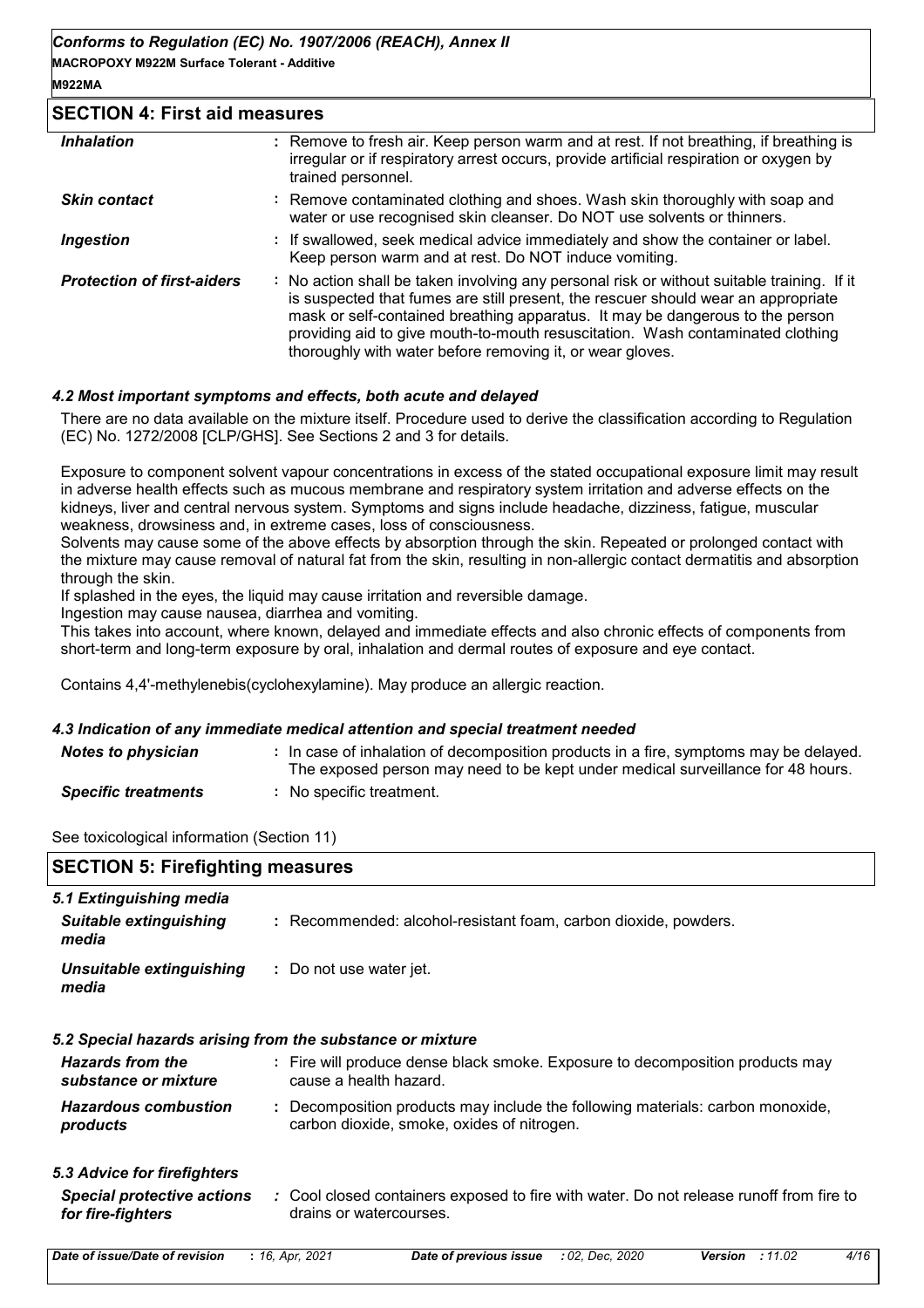#### **SECTION 4: First aid measures**

| <b>Inhalation</b>                 | : Remove to fresh air. Keep person warm and at rest. If not breathing, if breathing is<br>irregular or if respiratory arrest occurs, provide artificial respiration or oxygen by<br>trained personnel.                                                                                                                                                                                                          |
|-----------------------------------|-----------------------------------------------------------------------------------------------------------------------------------------------------------------------------------------------------------------------------------------------------------------------------------------------------------------------------------------------------------------------------------------------------------------|
| <b>Skin contact</b>               | : Remove contaminated clothing and shoes. Wash skin thoroughly with soap and<br>water or use recognised skin cleanser. Do NOT use solvents or thinners.                                                                                                                                                                                                                                                         |
| <i><b>Ingestion</b></i>           | : If swallowed, seek medical advice immediately and show the container or label.<br>Keep person warm and at rest. Do NOT induce vomiting.                                                                                                                                                                                                                                                                       |
| <b>Protection of first-aiders</b> | : No action shall be taken involving any personal risk or without suitable training. If it<br>is suspected that fumes are still present, the rescuer should wear an appropriate<br>mask or self-contained breathing apparatus. It may be dangerous to the person<br>providing aid to give mouth-to-mouth resuscitation. Wash contaminated clothing<br>thoroughly with water before removing it, or wear gloves. |

#### *4.2 Most important symptoms and effects, both acute and delayed*

There are no data available on the mixture itself. Procedure used to derive the classification according to Regulation (EC) No. 1272/2008 [CLP/GHS]. See Sections 2 and 3 for details.

Exposure to component solvent vapour concentrations in excess of the stated occupational exposure limit may result in adverse health effects such as mucous membrane and respiratory system irritation and adverse effects on the kidneys, liver and central nervous system. Symptoms and signs include headache, dizziness, fatigue, muscular weakness, drowsiness and, in extreme cases, loss of consciousness.

Solvents may cause some of the above effects by absorption through the skin. Repeated or prolonged contact with the mixture may cause removal of natural fat from the skin, resulting in non-allergic contact dermatitis and absorption through the skin.

If splashed in the eyes, the liquid may cause irritation and reversible damage.

Ingestion may cause nausea, diarrhea and vomiting.

This takes into account, where known, delayed and immediate effects and also chronic effects of components from short-term and long-term exposure by oral, inhalation and dermal routes of exposure and eye contact.

Contains 4,4'-methylenebis(cyclohexylamine). May produce an allergic reaction.

#### *4.3 Indication of any immediate medical attention and special treatment needed*

| <b>Notes to physician</b>  | : In case of inhalation of decomposition products in a fire, symptoms may be delayed.<br>The exposed person may need to be kept under medical surveillance for 48 hours. |
|----------------------------|--------------------------------------------------------------------------------------------------------------------------------------------------------------------------|
| <b>Specific treatments</b> | No specific treatment.                                                                                                                                                   |

See toxicological information (Section 11)

| <b>SECTION 5: Firefighting measures</b>                                                                                                                 |  |  |
|---------------------------------------------------------------------------------------------------------------------------------------------------------|--|--|
| : Recommended: alcohol-resistant foam, carbon dioxide, powders.                                                                                         |  |  |
| : Do not use water jet.                                                                                                                                 |  |  |
| 5.2 Special hazards arising from the substance or mixture                                                                                               |  |  |
| : Fire will produce dense black smoke. Exposure to decomposition products may<br>cause a health hazard.                                                 |  |  |
| : Decomposition products may include the following materials: carbon monoxide,<br>carbon dioxide, smoke, oxides of nitrogen.                            |  |  |
|                                                                                                                                                         |  |  |
| <b>Special protective actions</b><br>: Cool closed containers exposed to fire with water. Do not release runoff from fire to<br>drains or watercourses. |  |  |
|                                                                                                                                                         |  |  |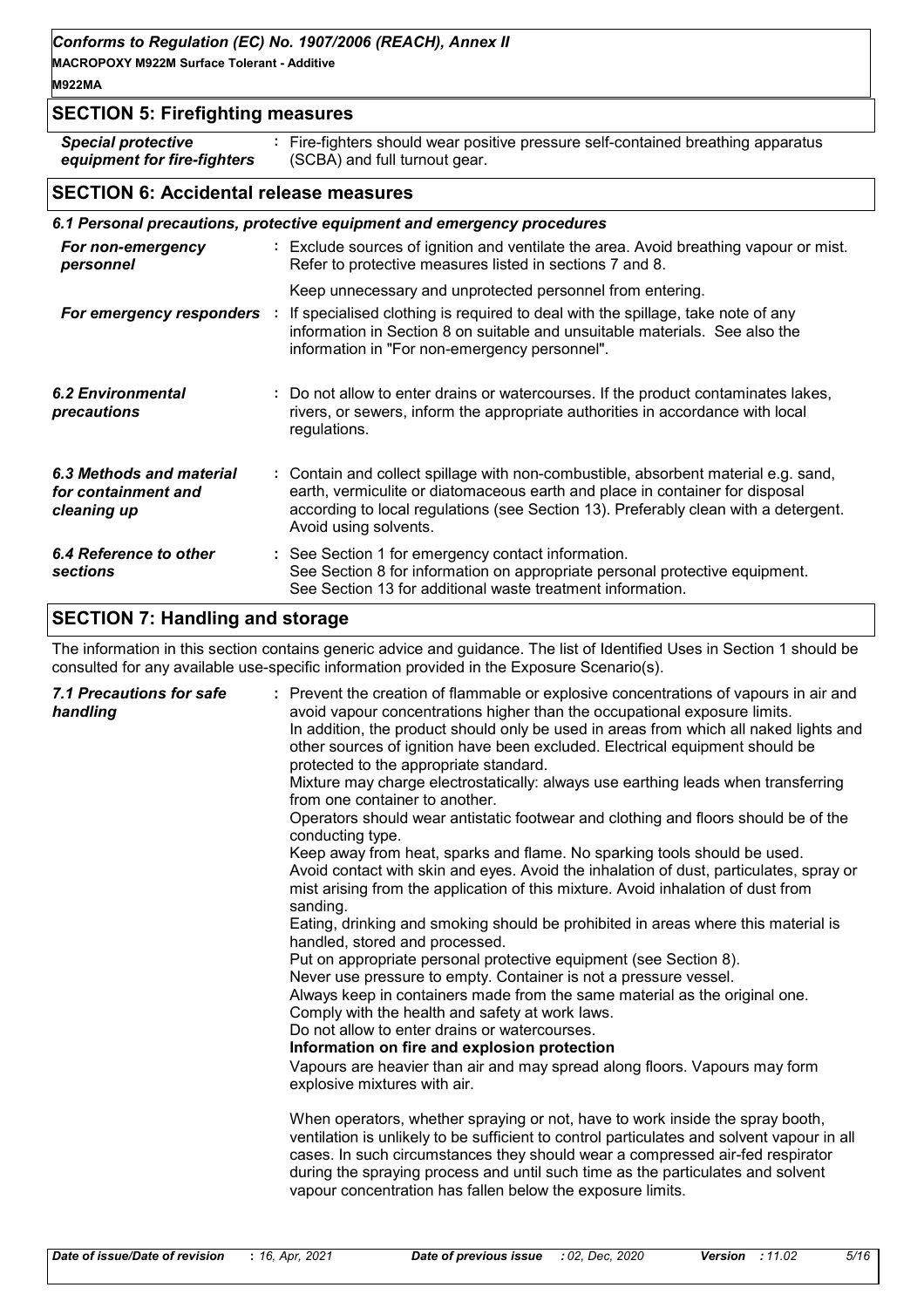*Conforms to Regulation (EC) No. 1907/2006 (REACH), Annex II*

**MACROPOXY M922M Surface Tolerant - Additive**

# **M922MA**

# **SECTION 5: Firefighting measures**

*Special protective equipment for fire-fighters* **:** Fire-fighters should wear positive pressure self-contained breathing apparatus (SCBA) and full turnout gear.

# **SECTION 6: Accidental release measures**

| 6.1 Personal precautions, protective equipment and emergency procedures |  |                                                                                                                                                                                                                                                                                    |  |
|-------------------------------------------------------------------------|--|------------------------------------------------------------------------------------------------------------------------------------------------------------------------------------------------------------------------------------------------------------------------------------|--|
| For non-emergency<br>personnel                                          |  | : Exclude sources of ignition and ventilate the area. Avoid breathing vapour or mist.<br>Refer to protective measures listed in sections 7 and 8.                                                                                                                                  |  |
|                                                                         |  | Keep unnecessary and unprotected personnel from entering.                                                                                                                                                                                                                          |  |
| For emergency responders :                                              |  | If specialised clothing is required to deal with the spillage, take note of any<br>information in Section 8 on suitable and unsuitable materials. See also the<br>information in "For non-emergency personnel".                                                                    |  |
| 6.2 Environmental<br>precautions                                        |  | : Do not allow to enter drains or watercourses. If the product contaminates lakes,<br>rivers, or sewers, inform the appropriate authorities in accordance with local<br>regulations.                                                                                               |  |
| 6.3 Methods and material<br>for containment and<br>cleaning up          |  | : Contain and collect spillage with non-combustible, absorbent material e.g. sand,<br>earth, vermiculite or diatomaceous earth and place in container for disposal<br>according to local regulations (see Section 13). Preferably clean with a detergent.<br>Avoid using solvents. |  |
| 6.4 Reference to other<br><b>sections</b>                               |  | : See Section 1 for emergency contact information.<br>See Section 8 for information on appropriate personal protective equipment.<br>See Section 13 for additional waste treatment information.                                                                                    |  |

# **SECTION 7: Handling and storage**

The information in this section contains generic advice and guidance. The list of Identified Uses in Section 1 should be consulted for any available use-specific information provided in the Exposure Scenario(s).

| 7.1 Precautions for safe<br>handling | : Prevent the creation of flammable or explosive concentrations of vapours in air and<br>avoid vapour concentrations higher than the occupational exposure limits.<br>In addition, the product should only be used in areas from which all naked lights and<br>other sources of ignition have been excluded. Electrical equipment should be<br>protected to the appropriate standard.<br>Mixture may charge electrostatically: always use earthing leads when transferring<br>from one container to another.<br>Operators should wear antistatic footwear and clothing and floors should be of the<br>conducting type.<br>Keep away from heat, sparks and flame. No sparking tools should be used.<br>Avoid contact with skin and eyes. Avoid the inhalation of dust, particulates, spray or<br>mist arising from the application of this mixture. Avoid inhalation of dust from<br>sanding.<br>Eating, drinking and smoking should be prohibited in areas where this material is<br>handled, stored and processed.<br>Put on appropriate personal protective equipment (see Section 8).<br>Never use pressure to empty. Container is not a pressure vessel.<br>Always keep in containers made from the same material as the original one.<br>Comply with the health and safety at work laws.<br>Do not allow to enter drains or watercourses.<br>Information on fire and explosion protection<br>Vapours are heavier than air and may spread along floors. Vapours may form<br>explosive mixtures with air.<br>When operators, whether spraying or not, have to work inside the spray booth,<br>ventilation is unlikely to be sufficient to control particulates and solvent vapour in all |
|--------------------------------------|---------------------------------------------------------------------------------------------------------------------------------------------------------------------------------------------------------------------------------------------------------------------------------------------------------------------------------------------------------------------------------------------------------------------------------------------------------------------------------------------------------------------------------------------------------------------------------------------------------------------------------------------------------------------------------------------------------------------------------------------------------------------------------------------------------------------------------------------------------------------------------------------------------------------------------------------------------------------------------------------------------------------------------------------------------------------------------------------------------------------------------------------------------------------------------------------------------------------------------------------------------------------------------------------------------------------------------------------------------------------------------------------------------------------------------------------------------------------------------------------------------------------------------------------------------------------------------------------------------------------------------------------------------------------------------------------|
|                                      | cases. In such circumstances they should wear a compressed air-fed respirator<br>during the spraying process and until such time as the particulates and solvent<br>vapour concentration has fallen below the exposure limits.                                                                                                                                                                                                                                                                                                                                                                                                                                                                                                                                                                                                                                                                                                                                                                                                                                                                                                                                                                                                                                                                                                                                                                                                                                                                                                                                                                                                                                                              |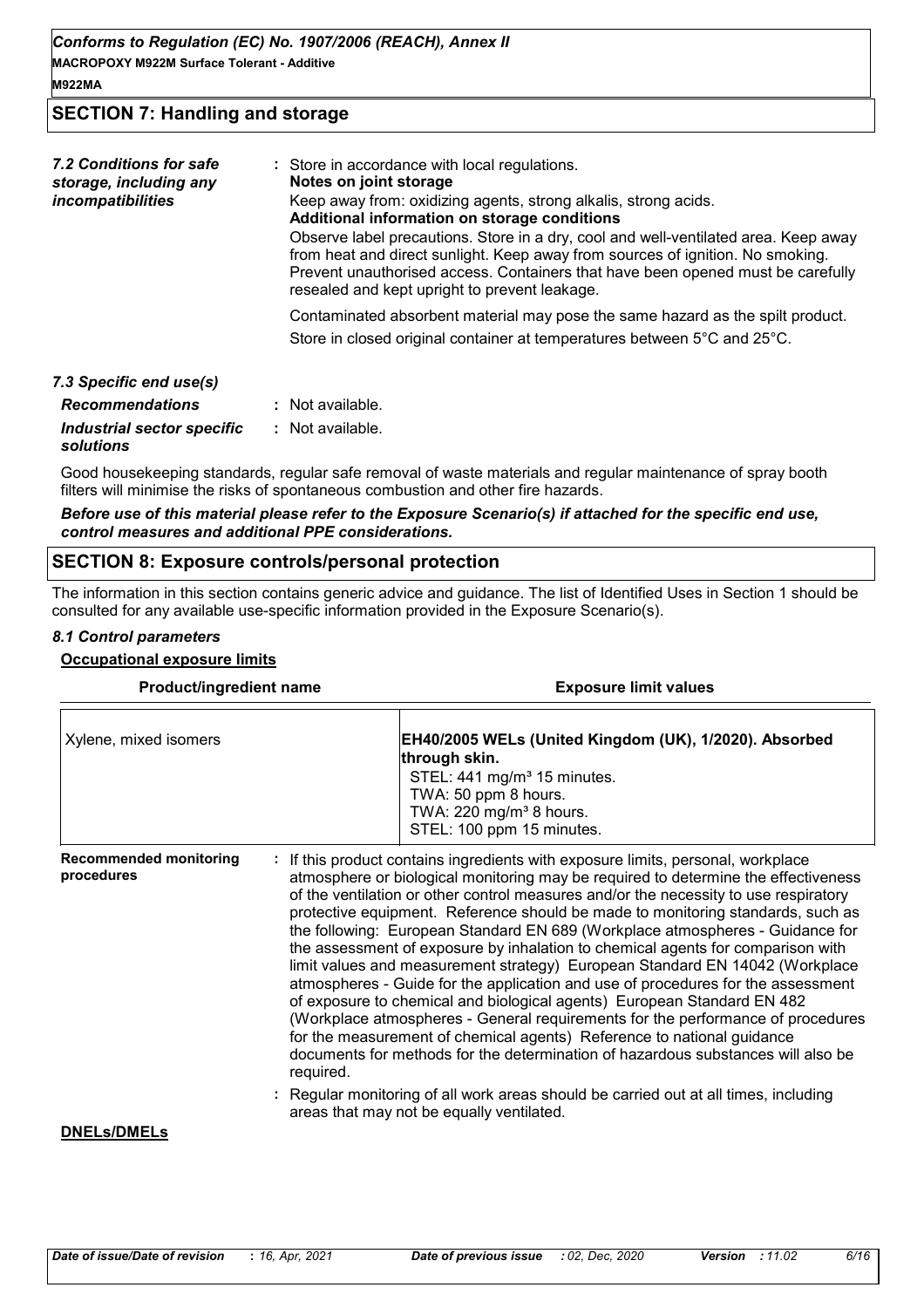# **SECTION 7: Handling and storage**

| 7.2 Conditions for safe<br>storage, including any<br>incompatibilities | : Store in accordance with local regulations.<br>Notes on joint storage<br>Keep away from: oxidizing agents, strong alkalis, strong acids.<br>Additional information on storage conditions<br>Observe label precautions. Store in a dry, cool and well-ventilated area. Keep away<br>from heat and direct sunlight. Keep away from sources of ignition. No smoking.<br>Prevent unauthorised access. Containers that have been opened must be carefully<br>resealed and kept upright to prevent leakage. |
|------------------------------------------------------------------------|---------------------------------------------------------------------------------------------------------------------------------------------------------------------------------------------------------------------------------------------------------------------------------------------------------------------------------------------------------------------------------------------------------------------------------------------------------------------------------------------------------|
|                                                                        | Contaminated absorbent material may pose the same hazard as the spilt product.<br>Store in closed original container at temperatures between 5°C and 25°C.                                                                                                                                                                                                                                                                                                                                              |
| 7.3 Specific end use(s)<br><b>Recommendations</b>                      | $:$ Not available.                                                                                                                                                                                                                                                                                                                                                                                                                                                                                      |

| $:$ Not available. |
|--------------------|
| : Not available.   |
|                    |

Good housekeeping standards, regular safe removal of waste materials and regular maintenance of spray booth filters will minimise the risks of spontaneous combustion and other fire hazards.

#### *Before use of this material please refer to the Exposure Scenario(s) if attached for the specific end use, control measures and additional PPE considerations.*

#### **SECTION 8: Exposure controls/personal protection**

The information in this section contains generic advice and guidance. The list of Identified Uses in Section 1 should be consulted for any available use-specific information provided in the Exposure Scenario(s).

#### *8.1 Control parameters*

#### **Occupational exposure limits**

| Product/ingredient name                     |           | <b>Exposure limit values</b>                                                                                                                                                                                                                                                                                                                                                                                                                                                                                                                                                                                                                                                                                                                                                                                                                                                                                                                                                                                        |  |  |
|---------------------------------------------|-----------|---------------------------------------------------------------------------------------------------------------------------------------------------------------------------------------------------------------------------------------------------------------------------------------------------------------------------------------------------------------------------------------------------------------------------------------------------------------------------------------------------------------------------------------------------------------------------------------------------------------------------------------------------------------------------------------------------------------------------------------------------------------------------------------------------------------------------------------------------------------------------------------------------------------------------------------------------------------------------------------------------------------------|--|--|
| Xylene, mixed isomers                       |           | EH40/2005 WELs (United Kingdom (UK), 1/2020). Absorbed<br>through skin.<br>STEL: 441 mg/m <sup>3</sup> 15 minutes.<br>TWA: 50 ppm 8 hours.<br>TWA: 220 mg/m <sup>3</sup> 8 hours.<br>STEL: 100 ppm 15 minutes.                                                                                                                                                                                                                                                                                                                                                                                                                                                                                                                                                                                                                                                                                                                                                                                                      |  |  |
| <b>Recommended monitoring</b><br>procedures | required. | If this product contains ingredients with exposure limits, personal, workplace<br>atmosphere or biological monitoring may be required to determine the effectiveness<br>of the ventilation or other control measures and/or the necessity to use respiratory<br>protective equipment. Reference should be made to monitoring standards, such as<br>the following: European Standard EN 689 (Workplace atmospheres - Guidance for<br>the assessment of exposure by inhalation to chemical agents for comparison with<br>limit values and measurement strategy) European Standard EN 14042 (Workplace<br>atmospheres - Guide for the application and use of procedures for the assessment<br>of exposure to chemical and biological agents) European Standard EN 482<br>(Workplace atmospheres - General requirements for the performance of procedures<br>for the measurement of chemical agents) Reference to national guidance<br>documents for methods for the determination of hazardous substances will also be |  |  |
| <b>DNELS/DMELS</b>                          |           | Regular monitoring of all work areas should be carried out at all times, including<br>areas that may not be equally ventilated.                                                                                                                                                                                                                                                                                                                                                                                                                                                                                                                                                                                                                                                                                                                                                                                                                                                                                     |  |  |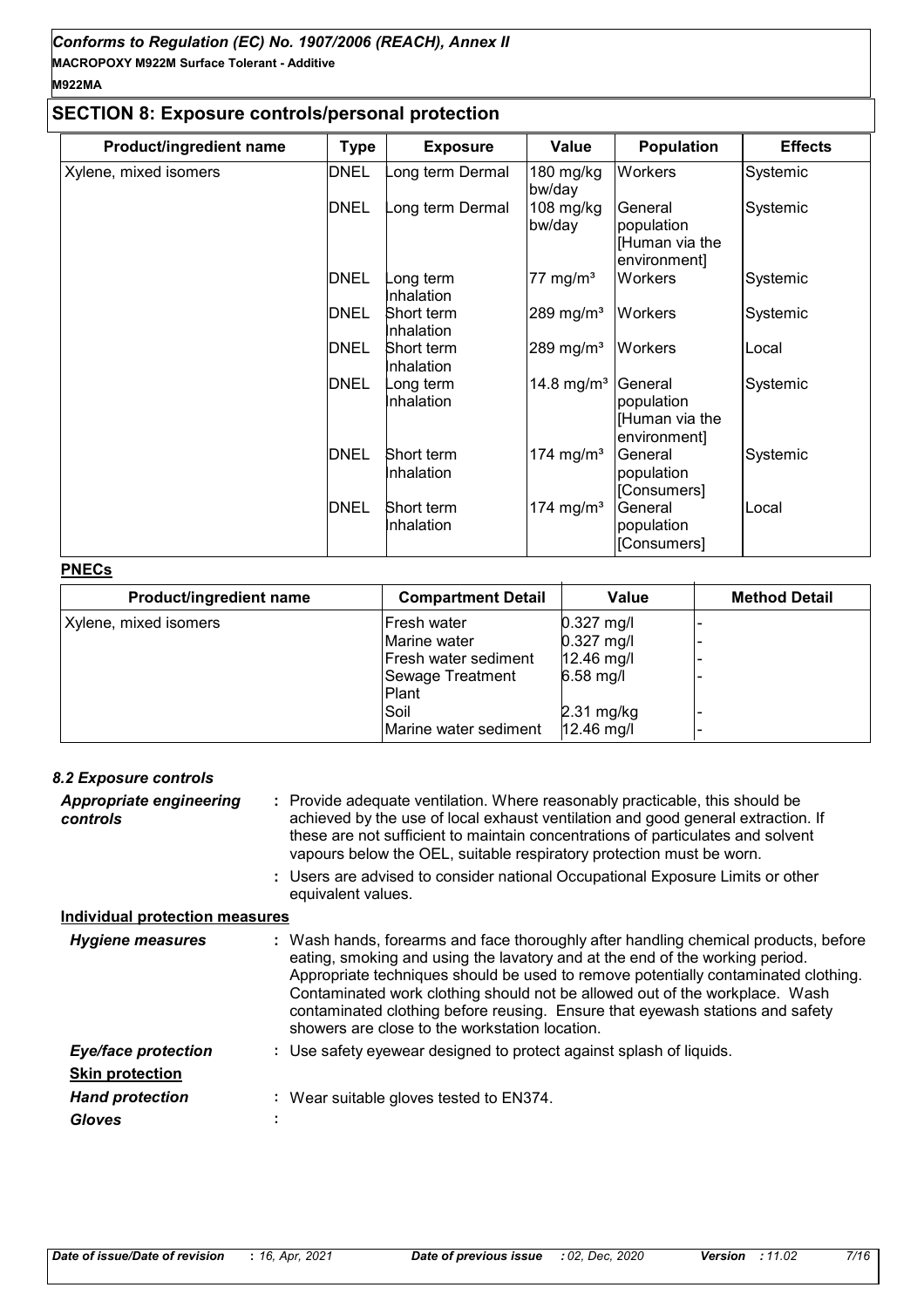# **SECTION 8: Exposure controls/personal protection**

| Product/ingredient name | <b>Type</b> | <b>Exposure</b>          | Value                  | <b>Population</b>                                       | <b>Effects</b> |
|-------------------------|-------------|--------------------------|------------------------|---------------------------------------------------------|----------------|
| Xylene, mixed isomers   | <b>DNEL</b> | ong term Dermal          | 180 mg/kg<br>bw/day    | Workers                                                 | Systemic       |
|                         | <b>DNEL</b> | ong term Dermal          | 108 mg/kg<br>bw/day    | General<br>population<br>[Human via the<br>environment] | Systemic       |
|                         | <b>DNEL</b> | ong term<br>Inhalation   | 77 mg/m <sup>3</sup>   | Workers                                                 | Systemic       |
|                         | <b>DNEL</b> | Short term<br>Inhalation | 289 mg/m $3$           | Workers                                                 | Systemic       |
|                         | <b>DNEL</b> | Short term<br>Inhalation | 289 mg/m <sup>3</sup>  | Workers                                                 | Local          |
|                         | <b>DNEL</b> | ong term<br>Inhalation   | 14.8 mg/m <sup>3</sup> | General<br>population<br>[Human via the<br>environment  | Systemic       |
|                         | <b>DNEL</b> | Short term<br>Inhalation | 174 mg/m <sup>3</sup>  | General<br>population<br>[Consumers]                    | Systemic       |
|                         | <b>DNEL</b> | Short term<br>Inhalation | 174 mg/m <sup>3</sup>  | General<br>population<br>[Consumers]                    | Local          |

#### **PNECs**

| Product/ingredient name | <b>Compartment Detail</b> | Value                | <b>Method Detail</b> |
|-------------------------|---------------------------|----------------------|----------------------|
| Xylene, mixed isomers   | Fresh water               | $0.327$ mg/l         |                      |
|                         | Marine water              | $0.327$ mg/l         |                      |
|                         | Fresh water sediment      | $12.46$ mg/l         |                      |
|                         | Sewage Treatment          | $6.58$ mg/l          |                      |
|                         | Plant                     |                      |                      |
|                         | Soil                      | $2.31 \text{ mg/kg}$ |                      |
|                         | Marine water sediment     | $12.46$ mg/l         |                      |

# *8.2 Exposure controls*

| <b>Appropriate engineering</b><br>controls |    | : Provide adequate ventilation. Where reasonably practicable, this should be<br>achieved by the use of local exhaust ventilation and good general extraction. If<br>these are not sufficient to maintain concentrations of particulates and solvent<br>vapours below the OEL, suitable respiratory protection must be worn.<br>: Users are advised to consider national Occupational Exposure Limits or other<br>equivalent values.                                         |
|--------------------------------------------|----|-----------------------------------------------------------------------------------------------------------------------------------------------------------------------------------------------------------------------------------------------------------------------------------------------------------------------------------------------------------------------------------------------------------------------------------------------------------------------------|
| <b>Individual protection measures</b>      |    |                                                                                                                                                                                                                                                                                                                                                                                                                                                                             |
| <b>Hygiene measures</b>                    |    | : Wash hands, forearms and face thoroughly after handling chemical products, before<br>eating, smoking and using the lavatory and at the end of the working period.<br>Appropriate techniques should be used to remove potentially contaminated clothing.<br>Contaminated work clothing should not be allowed out of the workplace. Wash<br>contaminated clothing before reusing. Ensure that eyewash stations and safety<br>showers are close to the workstation location. |
| <b>Eye/face protection</b>                 |    | : Use safety eyewear designed to protect against splash of liquids.                                                                                                                                                                                                                                                                                                                                                                                                         |
| <b>Skin protection</b>                     |    |                                                                                                                                                                                                                                                                                                                                                                                                                                                                             |
| <b>Hand protection</b>                     | ÷. | Wear suitable gloves tested to EN374.                                                                                                                                                                                                                                                                                                                                                                                                                                       |
| <b>Gloves</b>                              |    |                                                                                                                                                                                                                                                                                                                                                                                                                                                                             |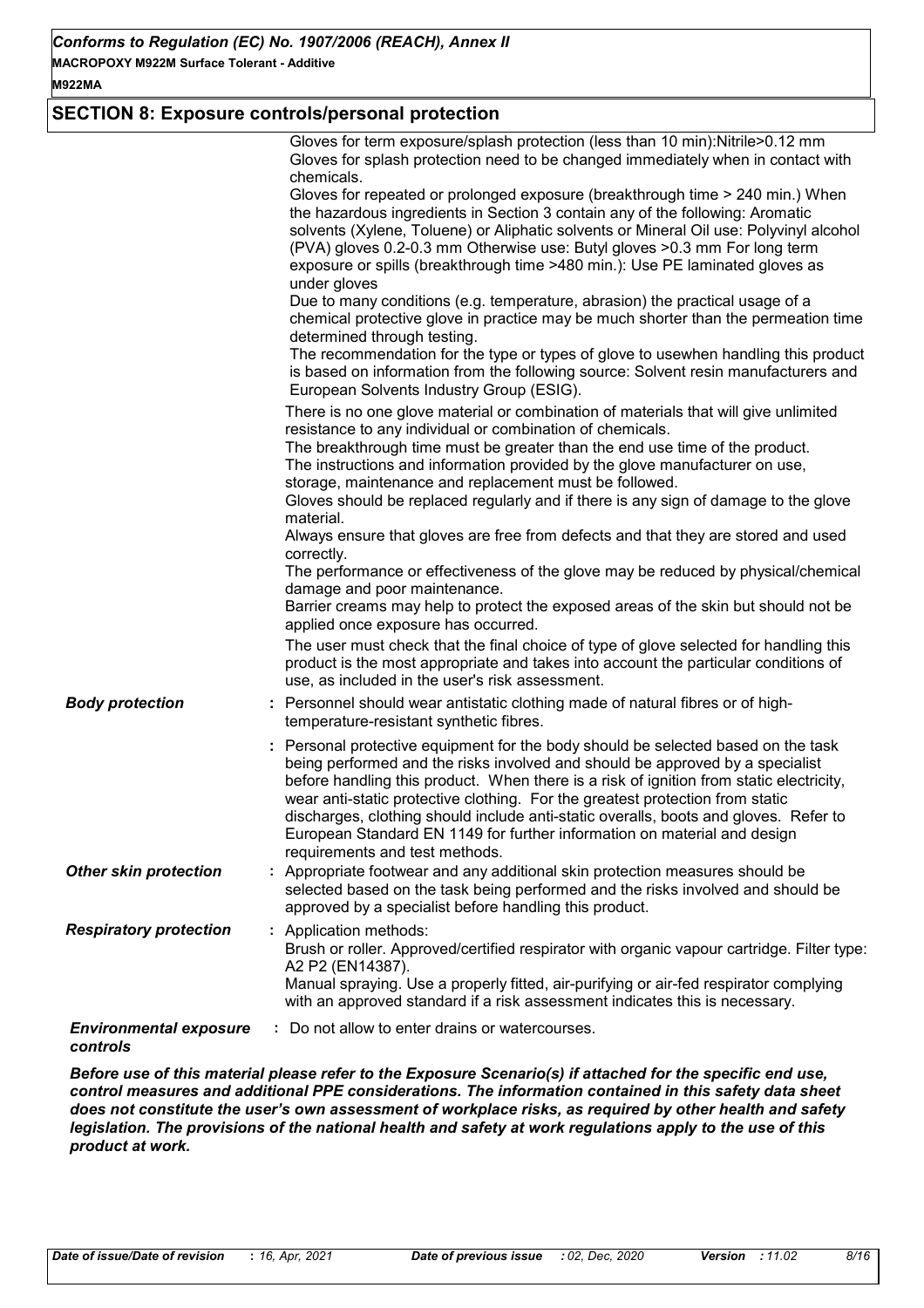# **SECTION 8: Exposure controls/personal protection**

|                                           | Gloves for term exposure/splash protection (less than 10 min): Nitrile>0.12 mm<br>Gloves for splash protection need to be changed immediately when in contact with<br>chemicals.<br>Gloves for repeated or prolonged exposure (breakthrough time > 240 min.) When<br>the hazardous ingredients in Section 3 contain any of the following: Aromatic<br>solvents (Xylene, Toluene) or Aliphatic solvents or Mineral Oil use: Polyvinyl alcohol<br>(PVA) gloves 0.2-0.3 mm Otherwise use: Butyl gloves >0.3 mm For long term<br>exposure or spills (breakthrough time >480 min.): Use PE laminated gloves as<br>under gloves<br>Due to many conditions (e.g. temperature, abrasion) the practical usage of a<br>chemical protective glove in practice may be much shorter than the permeation time<br>determined through testing.<br>The recommendation for the type or types of glove to usewhen handling this product<br>is based on information from the following source: Solvent resin manufacturers and<br>European Solvents Industry Group (ESIG).<br>There is no one glove material or combination of materials that will give unlimited<br>resistance to any individual or combination of chemicals.<br>The breakthrough time must be greater than the end use time of the product.<br>The instructions and information provided by the glove manufacturer on use,<br>storage, maintenance and replacement must be followed.<br>Gloves should be replaced regularly and if there is any sign of damage to the glove<br>material.<br>Always ensure that gloves are free from defects and that they are stored and used<br>correctly.<br>The performance or effectiveness of the glove may be reduced by physical/chemical<br>damage and poor maintenance.<br>Barrier creams may help to protect the exposed areas of the skin but should not be<br>applied once exposure has occurred.<br>The user must check that the final choice of type of glove selected for handling this<br>product is the most appropriate and takes into account the particular conditions of |
|-------------------------------------------|-----------------------------------------------------------------------------------------------------------------------------------------------------------------------------------------------------------------------------------------------------------------------------------------------------------------------------------------------------------------------------------------------------------------------------------------------------------------------------------------------------------------------------------------------------------------------------------------------------------------------------------------------------------------------------------------------------------------------------------------------------------------------------------------------------------------------------------------------------------------------------------------------------------------------------------------------------------------------------------------------------------------------------------------------------------------------------------------------------------------------------------------------------------------------------------------------------------------------------------------------------------------------------------------------------------------------------------------------------------------------------------------------------------------------------------------------------------------------------------------------------------------------------------------------------------------------------------------------------------------------------------------------------------------------------------------------------------------------------------------------------------------------------------------------------------------------------------------------------------------------------------------------------------------------------------------------------------------------------------------------------------------------------------------------------------------------------|
| <b>Body protection</b>                    | use, as included in the user's risk assessment.<br>: Personnel should wear antistatic clothing made of natural fibres or of high-<br>temperature-resistant synthetic fibres.                                                                                                                                                                                                                                                                                                                                                                                                                                                                                                                                                                                                                                                                                                                                                                                                                                                                                                                                                                                                                                                                                                                                                                                                                                                                                                                                                                                                                                                                                                                                                                                                                                                                                                                                                                                                                                                                                                |
|                                           | : Personal protective equipment for the body should be selected based on the task<br>being performed and the risks involved and should be approved by a specialist<br>before handling this product. When there is a risk of ignition from static electricity,<br>wear anti-static protective clothing. For the greatest protection from static<br>discharges, clothing should include anti-static overalls, boots and gloves. Refer to<br>European Standard EN 1149 for further information on material and design<br>requirements and test methods.                                                                                                                                                                                                                                                                                                                                                                                                                                                                                                                                                                                                                                                                                                                                                                                                                                                                                                                                                                                                                                                                                                                                                                                                                                                                                                                                                                                                                                                                                                                        |
| <b>Other skin protection</b>              | : Appropriate footwear and any additional skin protection measures should be<br>selected based on the task being performed and the risks involved and should be<br>approved by a specialist before handling this product.                                                                                                                                                                                                                                                                                                                                                                                                                                                                                                                                                                                                                                                                                                                                                                                                                                                                                                                                                                                                                                                                                                                                                                                                                                                                                                                                                                                                                                                                                                                                                                                                                                                                                                                                                                                                                                                   |
| <b>Respiratory protection</b>             | : Application methods:<br>Brush or roller. Approved/certified respirator with organic vapour cartridge. Filter type:<br>A2 P2 (EN14387).<br>Manual spraying. Use a properly fitted, air-purifying or air-fed respirator complying<br>with an approved standard if a risk assessment indicates this is necessary.                                                                                                                                                                                                                                                                                                                                                                                                                                                                                                                                                                                                                                                                                                                                                                                                                                                                                                                                                                                                                                                                                                                                                                                                                                                                                                                                                                                                                                                                                                                                                                                                                                                                                                                                                            |
| <b>Environmental exposure</b><br>controls | : Do not allow to enter drains or watercourses.                                                                                                                                                                                                                                                                                                                                                                                                                                                                                                                                                                                                                                                                                                                                                                                                                                                                                                                                                                                                                                                                                                                                                                                                                                                                                                                                                                                                                                                                                                                                                                                                                                                                                                                                                                                                                                                                                                                                                                                                                             |

*Before use of this material please refer to the Exposure Scenario(s) if attached for the specific end use, control measures and additional PPE considerations. The information contained in this safety data sheet does not constitute the user's own assessment of workplace risks, as required by other health and safety legislation. The provisions of the national health and safety at work regulations apply to the use of this product at work.*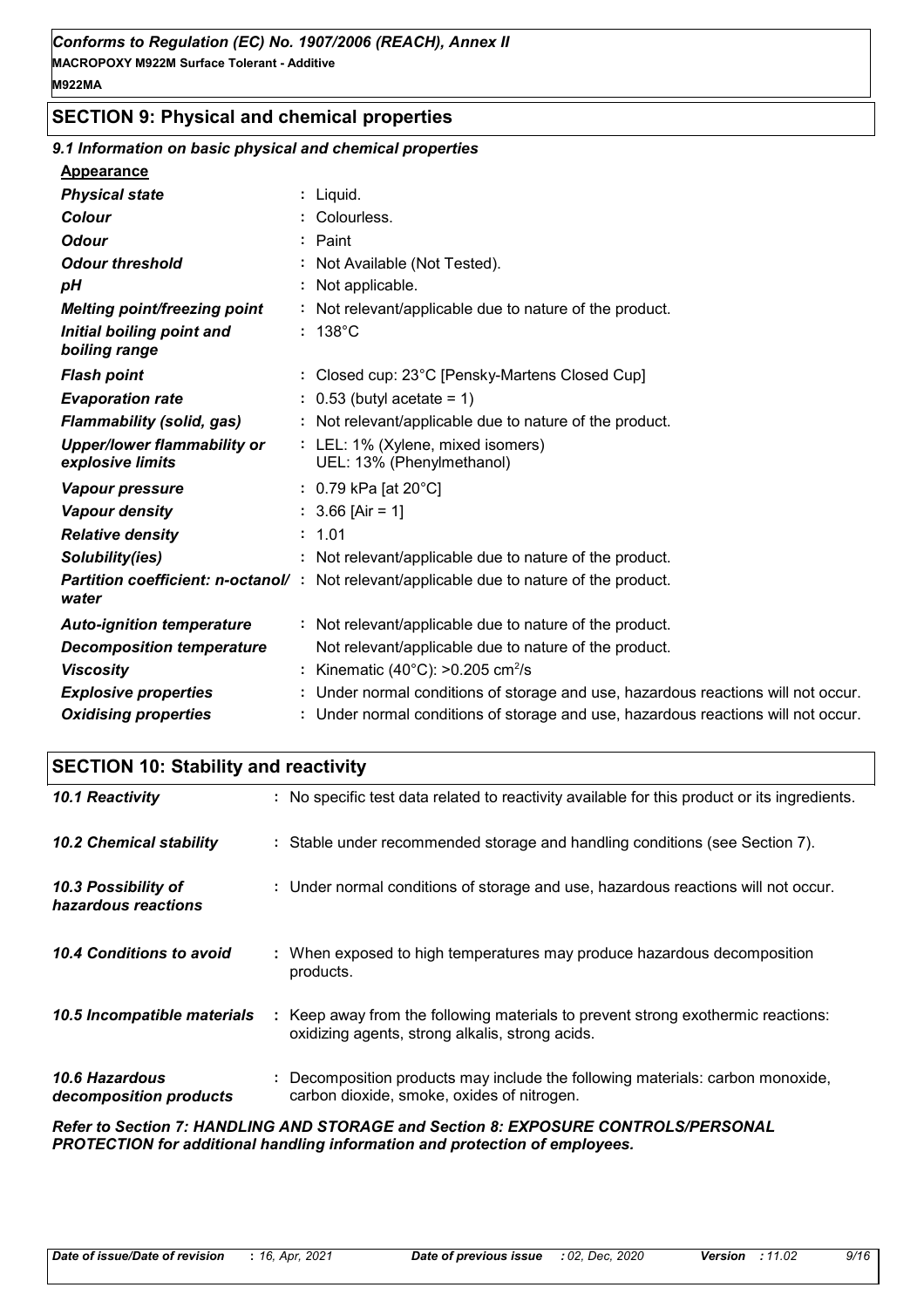# **SECTION 9: Physical and chemical properties**

# *9.1 Information on basic physical and chemical properties*

#### **Appearance**

| <b>Physical state</b>                                  | : Liquid.                                                                                        |
|--------------------------------------------------------|--------------------------------------------------------------------------------------------------|
| <b>Colour</b>                                          | : Colourless.                                                                                    |
| <b>Odour</b>                                           | : Paint                                                                                          |
| <b>Odour threshold</b>                                 | : Not Available (Not Tested).                                                                    |
| рH                                                     | : Not applicable.                                                                                |
| <b>Melting point/freezing point</b>                    | : Not relevant/applicable due to nature of the product.                                          |
| Initial boiling point and<br>boiling range             | $: 138^{\circ}$ C                                                                                |
| <b>Flash point</b>                                     | : Closed cup: 23°C [Pensky-Martens Closed Cup]                                                   |
| <b>Evaporation rate</b>                                | $: 0.53$ (butyl acetate = 1)                                                                     |
| <b>Flammability (solid, gas)</b>                       | : Not relevant/applicable due to nature of the product.                                          |
| <b>Upper/lower flammability or</b><br>explosive limits | : LEL: 1% (Xylene, mixed isomers)<br>UEL: 13% (Phenylmethanol)                                   |
| <b>Vapour pressure</b>                                 | : $0.79$ kPa [at 20 $^{\circ}$ C]                                                                |
| Vapour density                                         | $: 3.66$ [Air = 1]                                                                               |
| <b>Relative density</b>                                | : 1.01                                                                                           |
| Solubility(ies)                                        | : Not relevant/applicable due to nature of the product.                                          |
| water                                                  | <b>Partition coefficient: n-octanol/</b> : Not relevant/applicable due to nature of the product. |
| <b>Auto-ignition temperature</b>                       | : Not relevant/applicable due to nature of the product.                                          |
| <b>Decomposition temperature</b>                       | Not relevant/applicable due to nature of the product.                                            |
| <b>Viscosity</b>                                       | : Kinematic (40 $^{\circ}$ C): >0.205 cm <sup>2</sup> /s                                         |
| <b>Explosive properties</b>                            | : Under normal conditions of storage and use, hazardous reactions will not occur.                |
| <b>Oxidising properties</b>                            | : Under normal conditions of storage and use, hazardous reactions will not occur.                |

# **SECTION 10: Stability and reactivity**

| 10.1 Reactivity                            | : No specific test data related to reactivity available for this product or its ingredients.                                        |
|--------------------------------------------|-------------------------------------------------------------------------------------------------------------------------------------|
| <b>10.2 Chemical stability</b>             | : Stable under recommended storage and handling conditions (see Section 7).                                                         |
| 10.3 Possibility of<br>hazardous reactions | : Under normal conditions of storage and use, hazardous reactions will not occur.                                                   |
| 10.4 Conditions to avoid                   | : When exposed to high temperatures may produce hazardous decomposition<br>products.                                                |
| 10.5 Incompatible materials                | : Keep away from the following materials to prevent strong exothermic reactions:<br>oxidizing agents, strong alkalis, strong acids. |
| 10.6 Hazardous<br>decomposition products   | : Decomposition products may include the following materials: carbon monoxide,<br>carbon dioxide, smoke, oxides of nitrogen.        |
|                                            | Batanta Baatian 7. HANDI BIG AND GTODAGE and Baatian B. EVBORHDE CONTROL BIREBOOMAL                                                 |

*Refer to Section 7: HANDLING AND STORAGE and Section 8: EXPOSURE CONTROLS/PERSONAL PROTECTION for additional handling information and protection of employees.*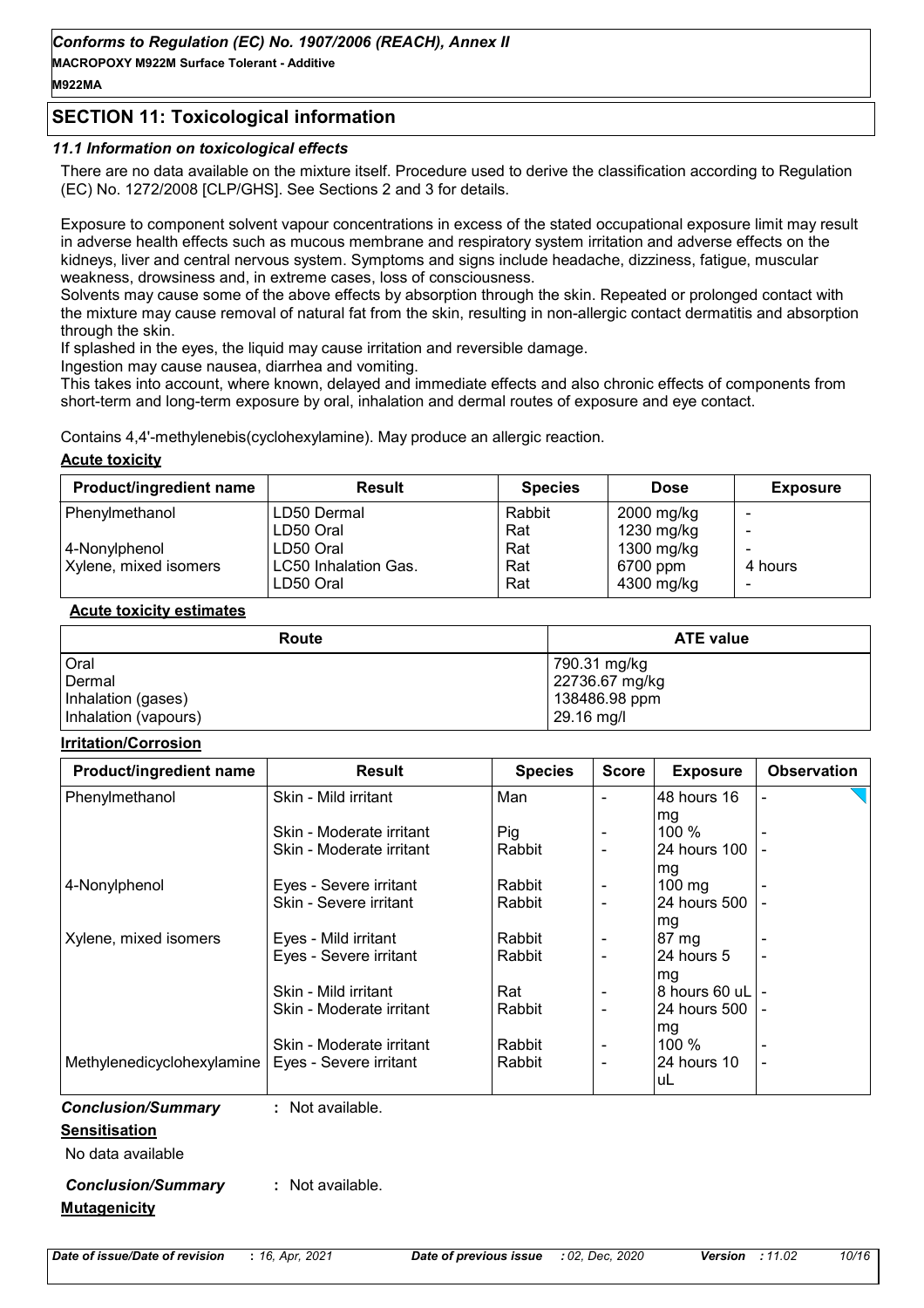# **SECTION 11: Toxicological information**

#### *11.1 Information on toxicological effects*

There are no data available on the mixture itself. Procedure used to derive the classification according to Regulation (EC) No. 1272/2008 [CLP/GHS]. See Sections 2 and 3 for details.

Exposure to component solvent vapour concentrations in excess of the stated occupational exposure limit may result in adverse health effects such as mucous membrane and respiratory system irritation and adverse effects on the kidneys, liver and central nervous system. Symptoms and signs include headache, dizziness, fatigue, muscular weakness, drowsiness and, in extreme cases, loss of consciousness.

Solvents may cause some of the above effects by absorption through the skin. Repeated or prolonged contact with the mixture may cause removal of natural fat from the skin, resulting in non-allergic contact dermatitis and absorption through the skin.

If splashed in the eyes, the liquid may cause irritation and reversible damage.

Ingestion may cause nausea, diarrhea and vomiting.

This takes into account, where known, delayed and immediate effects and also chronic effects of components from short-term and long-term exposure by oral, inhalation and dermal routes of exposure and eve contact.

Contains 4,4'-methylenebis(cyclohexylamine). May produce an allergic reaction.

#### **Acute toxicity**

| <b>Product/ingredient name</b> | <b>Result</b>        | <b>Species</b> | <b>Dose</b> | <b>Exposure</b> |
|--------------------------------|----------------------|----------------|-------------|-----------------|
| Phenylmethanol                 | LD50 Dermal          | Rabbit         | 2000 mg/kg  |                 |
|                                | LD50 Oral            | Rat            | 1230 mg/kg  |                 |
| 4-Nonylphenol                  | LD50 Oral            | Rat            | 1300 mg/kg  |                 |
| Xylene, mixed isomers          | LC50 Inhalation Gas. | Rat            | 6700 ppm    | 4 hours         |
|                                | LD50 Oral            | Rat            | 4300 mg/kg  |                 |

#### **Acute toxicity estimates**

| Route                | <b>ATE value</b> |
|----------------------|------------------|
| Oral                 | 790.31 mg/kg     |
| Dermal               | 22736.67 mg/kg   |
| Inhalation (gases)   | 138486.98 ppm    |
| Inhalation (vapours) | 29.16 mg/l       |

#### **Irritation/Corrosion**

| Product/ingredient name    | <b>Result</b>            | <b>Species</b> | <b>Score</b>             | <b>Exposure</b>     | <b>Observation</b> |
|----------------------------|--------------------------|----------------|--------------------------|---------------------|--------------------|
| Phenylmethanol             | Skin - Mild irritant     | Man            |                          | 48 hours 16         |                    |
|                            |                          |                |                          | mg                  |                    |
|                            | Skin - Moderate irritant | Pig            |                          | 100 %               |                    |
|                            | Skin - Moderate irritant | Rabbit         | $\overline{\phantom{a}}$ | 24 hours 100        |                    |
|                            |                          |                |                          | mg                  |                    |
| 4-Nonylphenol              | Eyes - Severe irritant   | Rabbit         |                          | $100$ mg            |                    |
|                            | Skin - Severe irritant   | Rabbit         |                          | 24 hours 500        |                    |
|                            |                          |                |                          | mg                  |                    |
| Xylene, mixed isomers      | Eyes - Mild irritant     | Rabbit         |                          | 87 mg               |                    |
|                            | Eyes - Severe irritant   | Rabbit         |                          | 24 hours 5          |                    |
|                            |                          |                |                          | mg                  |                    |
|                            | Skin - Mild irritant     | Rat            | $\overline{\phantom{a}}$ | 8 hours 60 uL     - |                    |
|                            | Skin - Moderate irritant | Rabbit         | $\blacksquare$           | 24 hours 500   -    |                    |
|                            |                          |                |                          | mg                  |                    |
|                            | Skin - Moderate irritant | Rabbit         | $\overline{\phantom{a}}$ | 100 %               |                    |
| Methylenedicyclohexylamine | Eyes - Severe irritant   | Rabbit         | $\overline{\phantom{a}}$ | 24 hours 10         |                    |
|                            |                          |                |                          | luL                 |                    |
| <b>Conclusion/Summary</b>  | : Not available.         |                |                          |                     |                    |
| <b>Sensitisation</b>       |                          |                |                          |                     |                    |
| Alo data available         |                          |                |                          |                     |                    |

No data available

#### *Conclusion/Summary* **:** Not available.

#### **Mutagenicity**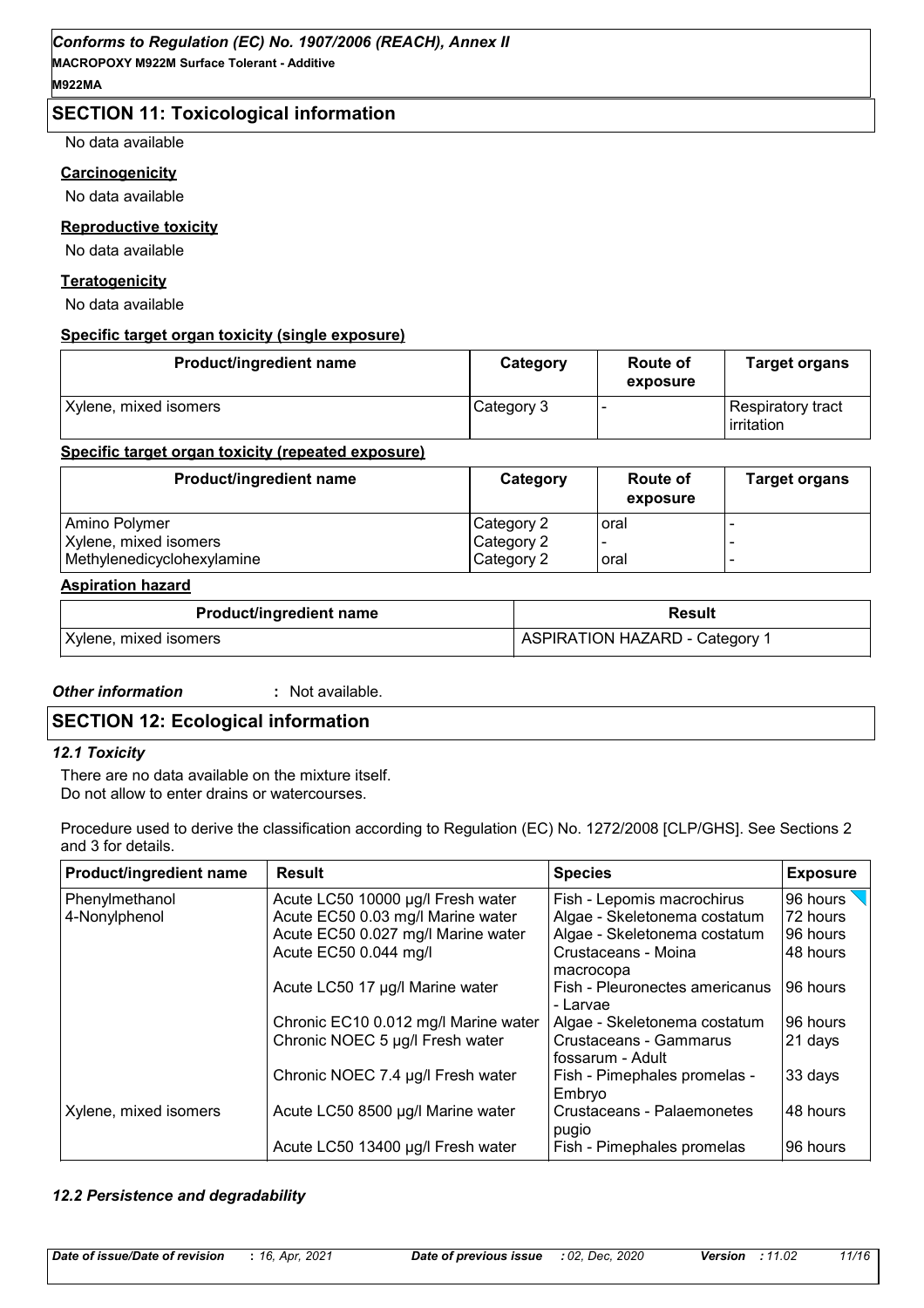# **SECTION 11: Toxicological information**

No data available

#### **Carcinogenicity**

No data available

#### **Reproductive toxicity**

No data available

#### **Teratogenicity**

No data available

#### **Specific target organ toxicity (single exposure)**

| Product/ingredient name | Category   | Route of<br>exposure | <b>Target organs</b>            |
|-------------------------|------------|----------------------|---------------------------------|
| Xylene, mixed isomers   | Category 3 |                      | Respiratory tract<br>irritation |

#### **Specific target organ toxicity (repeated exposure)**

| Product/ingredient name    | Category   | <b>Route of</b><br>exposure | <b>Target organs</b> |
|----------------------------|------------|-----------------------------|----------------------|
| Amino Polymer              | Category 2 | oral                        |                      |
| Xylene, mixed isomers      | Category 2 |                             |                      |
| Methylenedicyclohexylamine | Category 2 | oral                        |                      |

### **Aspiration hazard**

| <b>Product/ingredient name</b> | <b>Result</b>                         |
|--------------------------------|---------------------------------------|
| Xylene, mixed isomers          | <b>ASPIRATION HAZARD - Category 1</b> |

#### *Other information* **:** : Not available.

# **SECTION 12: Ecological information**

#### *12.1 Toxicity*

There are no data available on the mixture itself. Do not allow to enter drains or watercourses.

Procedure used to derive the classification according to Regulation (EC) No. 1272/2008 [CLP/GHS]. See Sections 2 and 3 for details.

| <b>Product/ingredient name</b> | <b>Result</b>                        | <b>Species</b>                             | <b>Exposure</b>  |
|--------------------------------|--------------------------------------|--------------------------------------------|------------------|
| Phenylmethanol                 | Acute LC50 10000 µg/l Fresh water    | Fish - Lepomis macrochirus                 | 96 hours $\sqrt$ |
| 4-Nonylphenol                  | Acute EC50 0.03 mg/l Marine water    | Algae - Skeletonema costatum               | 72 hours         |
|                                | Acute EC50 0.027 mg/l Marine water   | Algae - Skeletonema costatum               | 96 hours         |
|                                | Acute EC50 0.044 mg/l                | Crustaceans - Moina                        | 48 hours         |
|                                |                                      | macrocopa                                  |                  |
|                                | Acute LC50 17 µg/l Marine water      | Fish - Pleuronectes americanus<br>- Larvae | 96 hours         |
|                                | Chronic EC10 0.012 mg/l Marine water | Algae - Skeletonema costatum               | 96 hours         |
|                                | Chronic NOEC 5 µg/l Fresh water      | Crustaceans - Gammarus<br>fossarum - Adult | 21 days          |
|                                | Chronic NOEC 7.4 µg/l Fresh water    | Fish - Pimephales promelas -<br>Embryo     | 33 days          |
| Xylene, mixed isomers          | Acute LC50 8500 µg/l Marine water    | Crustaceans - Palaemonetes<br>pugio        | 48 hours         |
|                                | Acute LC50 13400 µg/l Fresh water    | Fish - Pimephales promelas                 | 96 hours         |

#### *12.2 Persistence and degradability*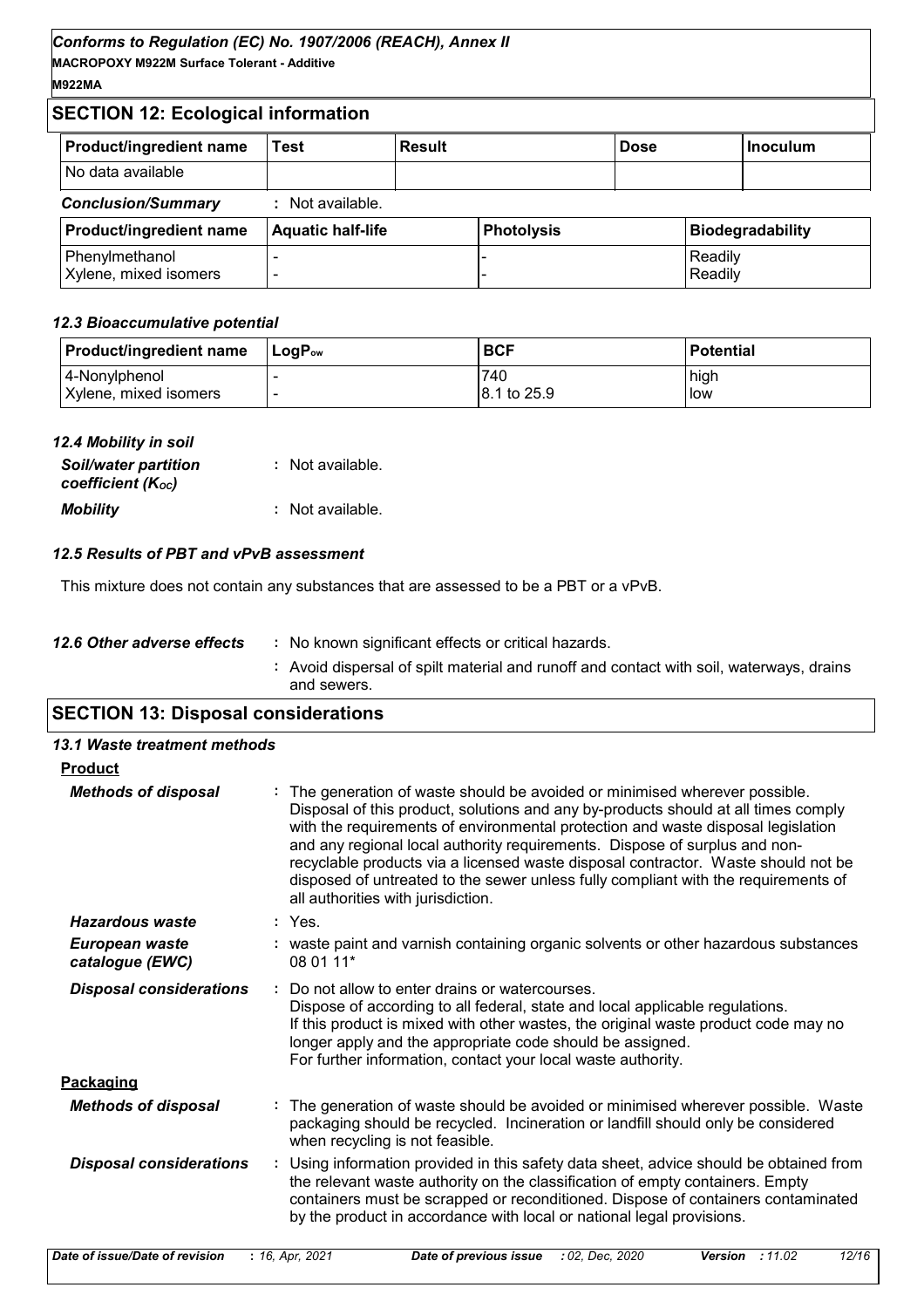# **SECTION 12: Ecological information**

| Product/ingredient name                 | Test                     | <b>Result</b> |                   | <b>Dose</b> |                    | Inoculum                |
|-----------------------------------------|--------------------------|---------------|-------------------|-------------|--------------------|-------------------------|
| No data available                       |                          |               |                   |             |                    |                         |
| <b>Conclusion/Summary</b>               | : Not available.         |               |                   |             |                    |                         |
| Product/ingredient name                 | <b>Aquatic half-life</b> |               | <b>Photolysis</b> |             |                    | <b>Biodegradability</b> |
| Phenylmethanol<br>Xylene, mixed isomers |                          |               |                   |             | Readily<br>Readily |                         |

#### *12.3 Bioaccumulative potential*

| <b>Product/ingredient name</b> | ⊺LoɑP <sub>ow</sub> | <b>BCF</b>  | <b>Potential</b> |
|--------------------------------|---------------------|-------------|------------------|
| 4-Nonylphenol                  |                     | 740         | high             |
| Xylene, mixed isomers          |                     | 8.1 to 25.9 | low              |

| 12.4 Mobility in soil                            |                  |
|--------------------------------------------------|------------------|
| <b>Soil/water partition</b><br>coefficient (Koc) | : Not available. |
| <b>Mobility</b>                                  | : Not available. |

#### *12.5 Results of PBT and vPvB assessment*

This mixture does not contain any substances that are assessed to be a PBT or a vPvB.

| 12.6 Other adverse effects | No known significant effects or critical hazards.                                                      |
|----------------------------|--------------------------------------------------------------------------------------------------------|
|                            | : Avoid dispersal of spilt material and runoff and contact with soil, waterways, drains<br>and sewers. |
|                            |                                                                                                        |

# **SECTION 13: Disposal considerations**

| 13.1 Waste treatment methods      |                                                                                                                                                                                                                                                                                                                                                                                                                                                                                                                                                      |
|-----------------------------------|------------------------------------------------------------------------------------------------------------------------------------------------------------------------------------------------------------------------------------------------------------------------------------------------------------------------------------------------------------------------------------------------------------------------------------------------------------------------------------------------------------------------------------------------------|
| <b>Product</b>                    |                                                                                                                                                                                                                                                                                                                                                                                                                                                                                                                                                      |
| <b>Methods of disposal</b>        | : The generation of waste should be avoided or minimised wherever possible.<br>Disposal of this product, solutions and any by-products should at all times comply<br>with the requirements of environmental protection and waste disposal legislation<br>and any regional local authority requirements. Dispose of surplus and non-<br>recyclable products via a licensed waste disposal contractor. Waste should not be<br>disposed of untreated to the sewer unless fully compliant with the requirements of<br>all authorities with jurisdiction. |
| Hazardous waste                   | : Yes                                                                                                                                                                                                                                                                                                                                                                                                                                                                                                                                                |
| European waste<br>catalogue (EWC) | : waste paint and varnish containing organic solvents or other hazardous substances<br>08 01 11*                                                                                                                                                                                                                                                                                                                                                                                                                                                     |
| <b>Disposal considerations</b>    | : Do not allow to enter drains or watercourses.<br>Dispose of according to all federal, state and local applicable regulations.<br>If this product is mixed with other wastes, the original waste product code may no<br>longer apply and the appropriate code should be assigned.<br>For further information, contact your local waste authority.                                                                                                                                                                                                   |
| Packaging                         |                                                                                                                                                                                                                                                                                                                                                                                                                                                                                                                                                      |
| <b>Methods of disposal</b>        | : The generation of waste should be avoided or minimised wherever possible. Waste<br>packaging should be recycled. Incineration or landfill should only be considered<br>when recycling is not feasible.                                                                                                                                                                                                                                                                                                                                             |
| <b>Disposal considerations</b>    | : Using information provided in this safety data sheet, advice should be obtained from<br>the relevant waste authority on the classification of empty containers. Empty<br>containers must be scrapped or reconditioned. Dispose of containers contaminated<br>by the product in accordance with local or national legal provisions.                                                                                                                                                                                                                 |

| Date of issue/Date of revision | : 16, Apr, 2021 | Date of previous issue : 02, Dec, 2020 | <b>Version</b> : 11.02 | 12/16 |
|--------------------------------|-----------------|----------------------------------------|------------------------|-------|
|                                |                 |                                        |                        |       |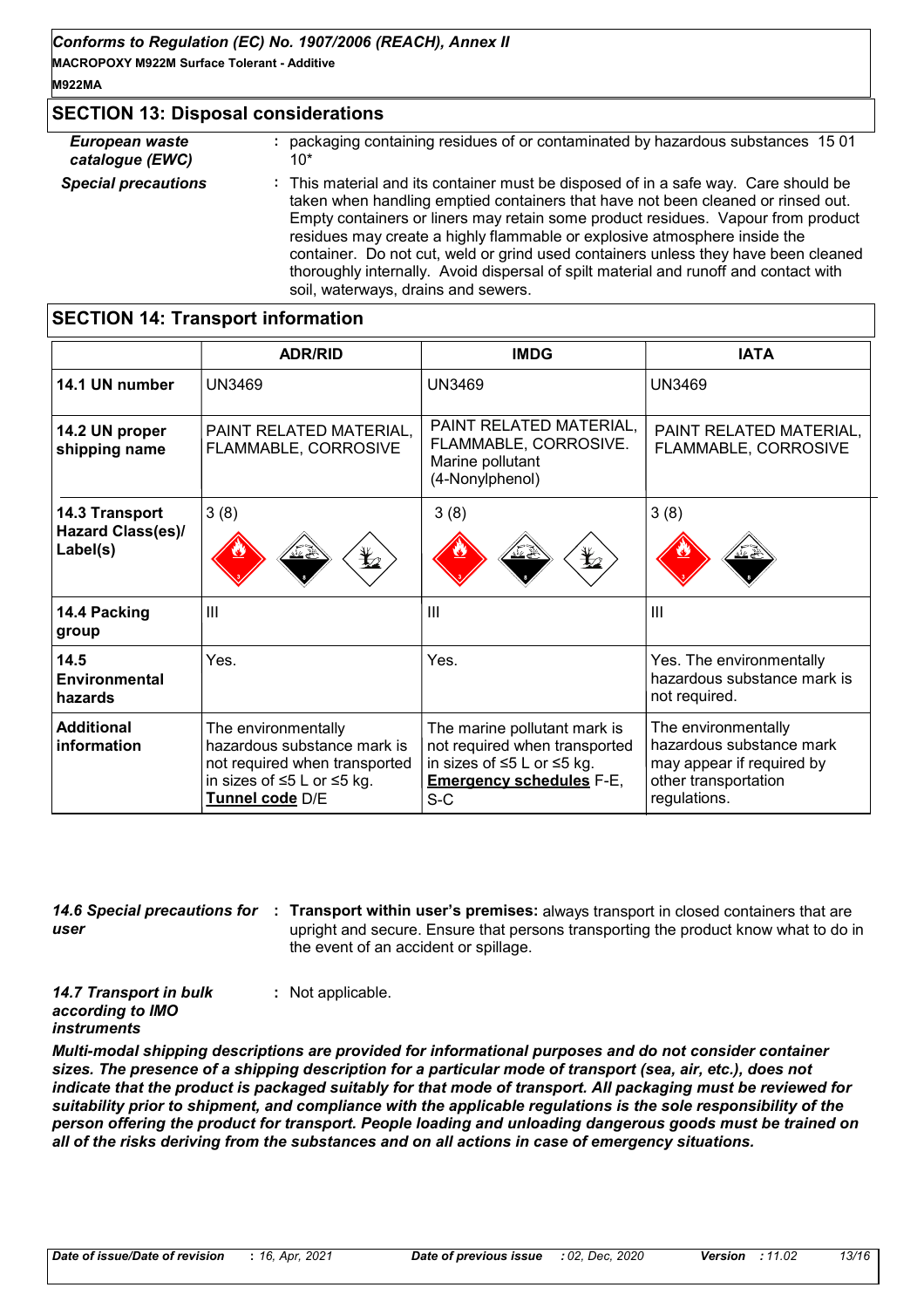# **SECTION 13: Disposal considerations**

| European waste             | packaging containing residues of or contaminated by hazardous substances 1501                                                                                                                                                                                                                                                                                                                                                                                                                                                                                 |
|----------------------------|---------------------------------------------------------------------------------------------------------------------------------------------------------------------------------------------------------------------------------------------------------------------------------------------------------------------------------------------------------------------------------------------------------------------------------------------------------------------------------------------------------------------------------------------------------------|
| catalogue (EWC)            | $10*$                                                                                                                                                                                                                                                                                                                                                                                                                                                                                                                                                         |
| <b>Special precautions</b> | : This material and its container must be disposed of in a safe way. Care should be<br>taken when handling emptied containers that have not been cleaned or rinsed out.<br>Empty containers or liners may retain some product residues. Vapour from product<br>residues may create a highly flammable or explosive atmosphere inside the<br>container. Do not cut, weld or grind used containers unless they have been cleaned<br>thoroughly internally. Avoid dispersal of spilt material and runoff and contact with<br>soil, waterways, drains and sewers. |

# **SECTION 14: Transport information**

|                                  | <b>ADR/RID</b>                                                                                                                       | <b>IMDG</b>                                                                                                                             | <b>IATA</b>                                                                                                          |
|----------------------------------|--------------------------------------------------------------------------------------------------------------------------------------|-----------------------------------------------------------------------------------------------------------------------------------------|----------------------------------------------------------------------------------------------------------------------|
| 14.1 UN number                   | <b>UN3469</b>                                                                                                                        | <b>UN3469</b>                                                                                                                           | <b>UN3469</b>                                                                                                        |
| 14.2 UN proper<br>shipping name  | PAINT RELATED MATERIAL,<br>FLAMMABLE, CORROSIVE                                                                                      | PAINT RELATED MATERIAL,<br>FLAMMABLE, CORROSIVE.<br>Marine pollutant<br>(4-Nonylphenol)                                                 | PAINT RELATED MATERIAL,<br>FLAMMABLE, CORROSIVE                                                                      |
| 14.3 Transport                   | 3(8)                                                                                                                                 | 3(8)                                                                                                                                    | 3(8)                                                                                                                 |
| Hazard Class(es)/<br>Label(s)    | $\bigstar$                                                                                                                           | $\mathbf{F}$                                                                                                                            |                                                                                                                      |
| 14.4 Packing<br>group            | $\mathbf{III}$                                                                                                                       | $\mathbf{III}$                                                                                                                          | III                                                                                                                  |
| 14.5<br>Environmental<br>hazards | Yes.                                                                                                                                 | Yes.                                                                                                                                    | Yes. The environmentally<br>hazardous substance mark is<br>not required.                                             |
| <b>Additional</b><br>information | The environmentally<br>hazardous substance mark is<br>not required when transported<br>in sizes of ≤5 L or ≤5 kg.<br>Tunnel code D/E | The marine pollutant mark is<br>not required when transported<br>in sizes of ≤5 L or ≤5 kg.<br><b>Emergency schedules F-E,</b><br>$S-C$ | The environmentally<br>hazardous substance mark<br>may appear if required by<br>other transportation<br>regulations. |

*user*

14.6 Special precautions for : Transport within user's premises: always transport in closed containers that are upright and secure. Ensure that persons transporting the product know what to do in the event of an accident or spillage.

*14.7 Transport in bulk according to IMO instruments* **:** Not applicable.

*Multi-modal shipping descriptions are provided for informational purposes and do not consider container sizes. The presence of a shipping description for a particular mode of transport (sea, air, etc.), does not indicate that the product is packaged suitably for that mode of transport. All packaging must be reviewed for suitability prior to shipment, and compliance with the applicable regulations is the sole responsibility of the person offering the product for transport. People loading and unloading dangerous goods must be trained on all of the risks deriving from the substances and on all actions in case of emergency situations.*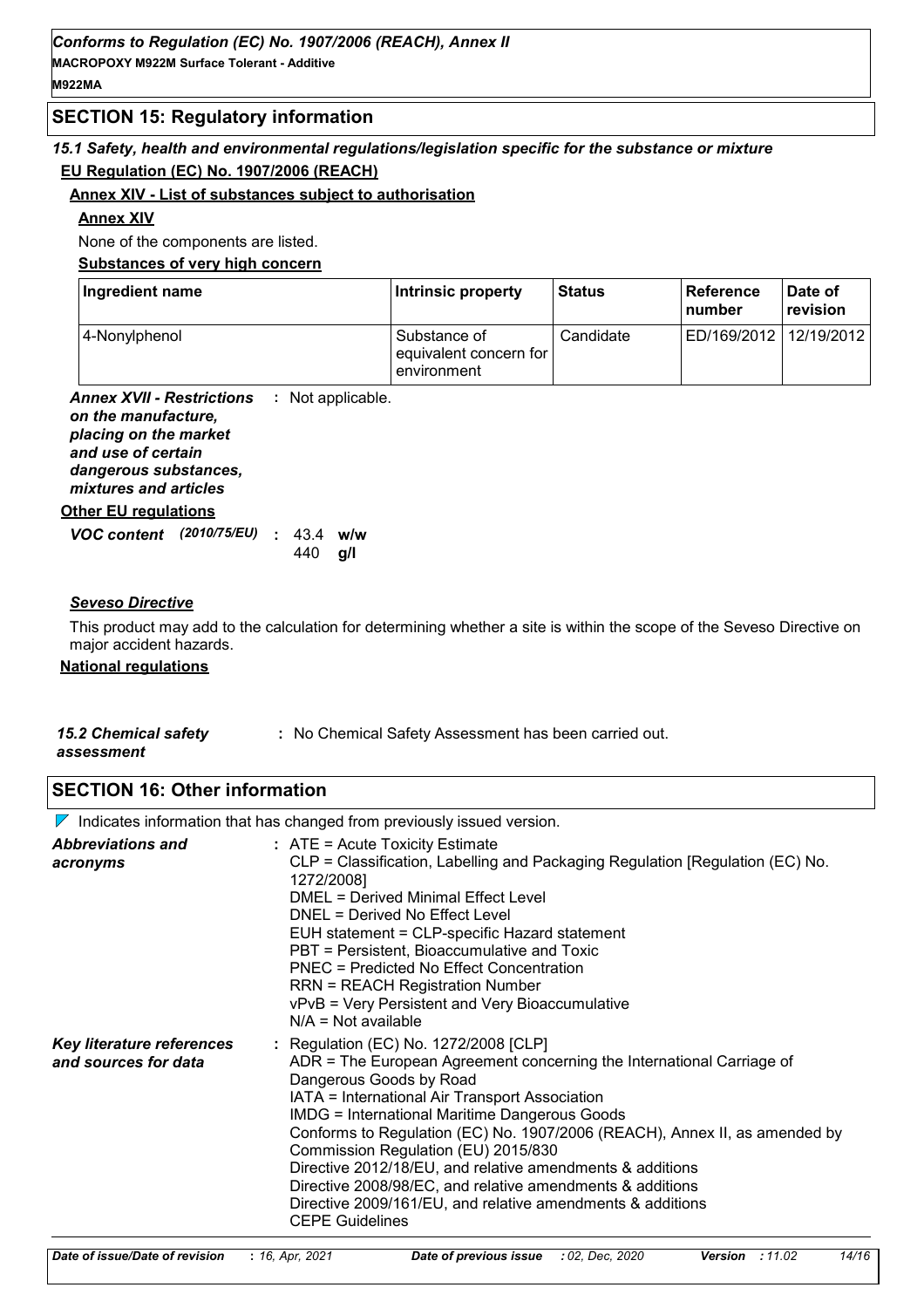# **SECTION 15: Regulatory information**

# *15.1 Safety, health and environmental regulations/legislation specific for the substance or mixture* **EU Regulation (EC) No. 1907/2006 (REACH)**

#### **Annex XIV - List of substances subject to authorisation**

#### **Annex XIV**

None of the components are listed.

**Substances of very high concern**

| Ingredient name | Intrinsic property                                    | <b>Status</b> | ∣ Reference<br>l number | Date of<br>revision |
|-----------------|-------------------------------------------------------|---------------|-------------------------|---------------------|
| 4-Nonylphenol   | Substance of<br>equivalent concern for<br>environment | Candidate     | ED/169/2012             | 12/19/2012          |

**Annex XVII - Restrictions** *on the manufacture, placing on the market and use of certain dangerous substances, mixtures and articles* **:**

#### **Other EU regulations**

| <b>VOC content</b> (2010/75/EU) : 43.4 w/w |  |                 |  |
|--------------------------------------------|--|-----------------|--|
|                                            |  | 440 <b>a</b> /l |  |

#### *Seveso Directive*

This product may add to the calculation for determining whether a site is within the scope of the Seveso Directive on major accident hazards.

#### **National regulations**

| <b>15.2 Chemical safety</b> | : No Chemical Safety Assessment has been carried out. |
|-----------------------------|-------------------------------------------------------|
| assessment                  |                                                       |

# **SECTION 16: Other information**

 $\nabla$  Indicates information that has changed from previously issued version.

| <b>Abbreviations and</b><br>acronyms              | $:$ ATE = Acute Toxicity Estimate<br>CLP = Classification, Labelling and Packaging Regulation [Regulation (EC) No.<br>1272/2008]<br>DMEL = Derived Minimal Effect Level<br><b>DNEL = Derived No Effect Level</b><br>EUH statement = CLP-specific Hazard statement<br>PBT = Persistent, Bioaccumulative and Toxic<br>PNEC = Predicted No Effect Concentration<br>RRN = REACH Registration Number<br>vPvB = Very Persistent and Very Bioaccumulative<br>$N/A = Not available$                                                                                                                |
|---------------------------------------------------|--------------------------------------------------------------------------------------------------------------------------------------------------------------------------------------------------------------------------------------------------------------------------------------------------------------------------------------------------------------------------------------------------------------------------------------------------------------------------------------------------------------------------------------------------------------------------------------------|
| Key literature references<br>and sources for data | : Regulation (EC) No. 1272/2008 [CLP]<br>ADR = The European Agreement concerning the International Carriage of<br>Dangerous Goods by Road<br>IATA = International Air Transport Association<br><b>IMDG = International Maritime Dangerous Goods</b><br>Conforms to Regulation (EC) No. 1907/2006 (REACH), Annex II, as amended by<br>Commission Regulation (EU) 2015/830<br>Directive 2012/18/EU, and relative amendments & additions<br>Directive 2008/98/EC, and relative amendments & additions<br>Directive 2009/161/EU, and relative amendments & additions<br><b>CEPE Guidelines</b> |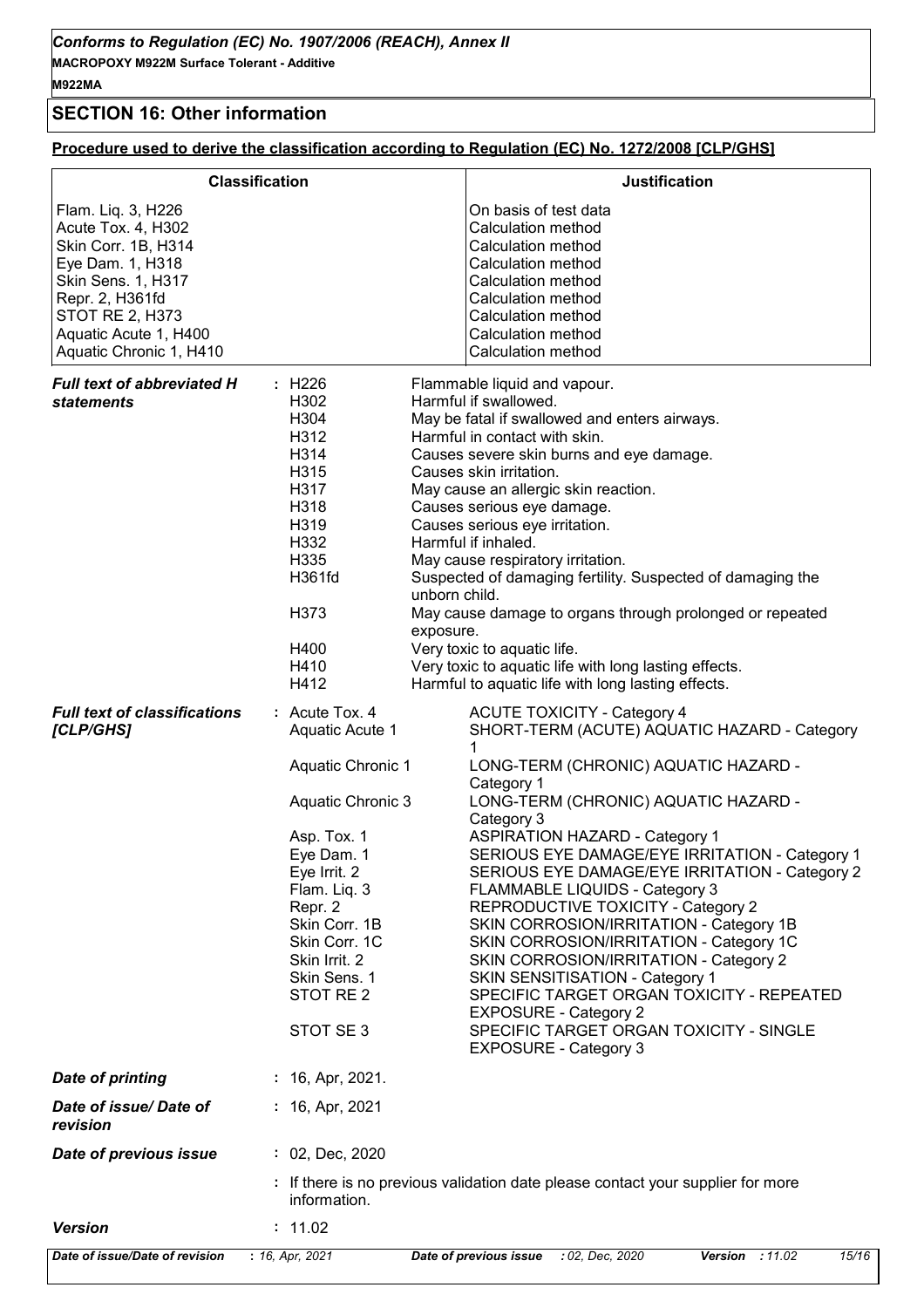# **SECTION 16: Other information**

# **Procedure used to derive the classification according to Regulation (EC) No. 1272/2008 [CLP/GHS]**

|                                                                                                                                                                                                            | <b>Classification</b><br><b>Justification</b>                                                                                                                                                                                                                                                                                                                                                                                                                                                                                                                                                                                                                                                                                                                                                                                                                                                                                                                                                             |
|------------------------------------------------------------------------------------------------------------------------------------------------------------------------------------------------------------|-----------------------------------------------------------------------------------------------------------------------------------------------------------------------------------------------------------------------------------------------------------------------------------------------------------------------------------------------------------------------------------------------------------------------------------------------------------------------------------------------------------------------------------------------------------------------------------------------------------------------------------------------------------------------------------------------------------------------------------------------------------------------------------------------------------------------------------------------------------------------------------------------------------------------------------------------------------------------------------------------------------|
| Flam. Liq. 3, H226<br>Acute Tox. 4, H302<br>Skin Corr. 1B, H314<br>Eye Dam. 1, H318<br>Skin Sens. 1, H317<br>Repr. 2, H361fd<br><b>STOT RE 2, H373</b><br>Aquatic Acute 1, H400<br>Aquatic Chronic 1, H410 | On basis of test data<br>Calculation method<br>Calculation method<br>Calculation method<br>Calculation method<br>Calculation method<br>Calculation method<br>Calculation method<br><b>Calculation method</b>                                                                                                                                                                                                                                                                                                                                                                                                                                                                                                                                                                                                                                                                                                                                                                                              |
| <b>Full text of abbreviated H</b><br><b>statements</b>                                                                                                                                                     | : H226<br>Flammable liquid and vapour.<br>Harmful if swallowed.<br>H302<br>H304<br>May be fatal if swallowed and enters airways.<br>H312<br>Harmful in contact with skin.<br>H314<br>Causes severe skin burns and eye damage.<br>H315<br>Causes skin irritation.<br>H317<br>May cause an allergic skin reaction.<br>H318<br>Causes serious eye damage.<br>H319<br>Causes serious eye irritation.<br>Harmful if inhaled.<br>H332<br>H335<br>May cause respiratory irritation.<br>H361fd<br>Suspected of damaging fertility. Suspected of damaging the<br>unborn child.<br>H373<br>May cause damage to organs through prolonged or repeated<br>exposure.<br>H400<br>Very toxic to aquatic life.<br>Very toxic to aquatic life with long lasting effects.<br>H410<br>H412<br>Harmful to aquatic life with long lasting effects.                                                                                                                                                                              |
| <b>Full text of classifications</b><br>[CLP/GHS]                                                                                                                                                           | : Acute Tox. 4<br><b>ACUTE TOXICITY - Category 4</b><br>Aquatic Acute 1<br>SHORT-TERM (ACUTE) AQUATIC HAZARD - Category<br><b>Aquatic Chronic 1</b><br>LONG-TERM (CHRONIC) AQUATIC HAZARD -<br>Category 1<br>Aquatic Chronic 3<br>LONG-TERM (CHRONIC) AQUATIC HAZARD -<br>Category 3<br>Asp. Tox. 1<br><b>ASPIRATION HAZARD - Category 1</b><br>SERIOUS EYE DAMAGE/EYE IRRITATION - Category 1<br>Eye Dam. 1<br>SERIOUS EYE DAMAGE/EYE IRRITATION - Category 2<br>Eye Irrit. 2<br>Flam. Liq. 3<br>FLAMMABLE LIQUIDS - Category 3<br>Repr. 2<br>REPRODUCTIVE TOXICITY - Category 2<br>Skin Corr. 1B<br>SKIN CORROSION/IRRITATION - Category 1B<br>Skin Corr. 1C<br>SKIN CORROSION/IRRITATION - Category 1C<br>Skin Irrit. 2<br>SKIN CORROSION/IRRITATION - Category 2<br>Skin Sens. 1<br>SKIN SENSITISATION - Category 1<br>STOT RE 2<br>SPECIFIC TARGET ORGAN TOXICITY - REPEATED<br><b>EXPOSURE - Category 2</b><br>STOT SE 3<br>SPECIFIC TARGET ORGAN TOXICITY - SINGLE<br><b>EXPOSURE - Category 3</b> |
| <b>Date of printing</b>                                                                                                                                                                                    | : 16, Apr, 2021.                                                                                                                                                                                                                                                                                                                                                                                                                                                                                                                                                                                                                                                                                                                                                                                                                                                                                                                                                                                          |
| Date of issue/Date of<br>revision                                                                                                                                                                          | $: 16,$ Apr, 2021                                                                                                                                                                                                                                                                                                                                                                                                                                                                                                                                                                                                                                                                                                                                                                                                                                                                                                                                                                                         |
| Date of previous issue                                                                                                                                                                                     | : 02, Dec, 2020                                                                                                                                                                                                                                                                                                                                                                                                                                                                                                                                                                                                                                                                                                                                                                                                                                                                                                                                                                                           |
|                                                                                                                                                                                                            | : If there is no previous validation date please contact your supplier for more<br>information.                                                                                                                                                                                                                                                                                                                                                                                                                                                                                                                                                                                                                                                                                                                                                                                                                                                                                                           |
| <b>Version</b>                                                                                                                                                                                             | : 11.02                                                                                                                                                                                                                                                                                                                                                                                                                                                                                                                                                                                                                                                                                                                                                                                                                                                                                                                                                                                                   |
| Date of issue/Date of revision                                                                                                                                                                             | : 16, Apr, 2021<br>Date of previous issue<br>: 02, Dec, 2020<br>Version : 11.02<br>15/16                                                                                                                                                                                                                                                                                                                                                                                                                                                                                                                                                                                                                                                                                                                                                                                                                                                                                                                  |